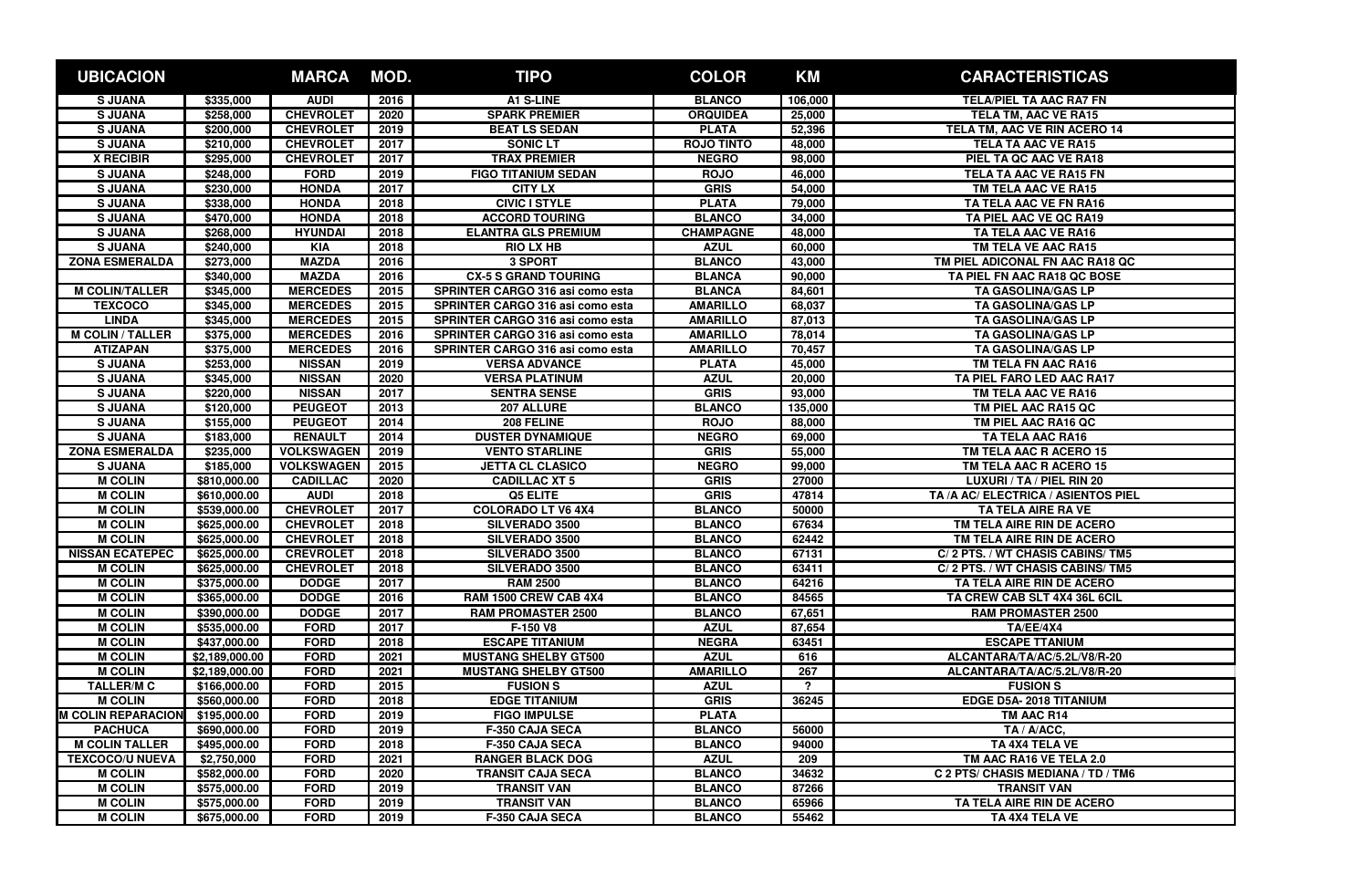| <b>UBICACION</b>          |                | <b>MARCA</b>      | MOD. | <b>TIPO</b>                             | <b>COLOR</b>      | <b>KM</b> | <b>CARACTERISTICAS</b>              |
|---------------------------|----------------|-------------------|------|-----------------------------------------|-------------------|-----------|-------------------------------------|
| <b>SJUANA</b>             | \$335,000      | <b>AUDI</b>       | 2016 | A1 S-LINE                               | <b>BLANCO</b>     | 106,000   | <b>TELA/PIEL TA AAC RA7 FN</b>      |
| <b>SJUANA</b>             | \$258,000      | <b>CHEVROLET</b>  | 2020 | <b>SPARK PREMIER</b>                    | <b>ORQUIDEA</b>   | 25,000    | <b>TELA TM, AAC VE RA15</b>         |
| <b>SJUANA</b>             | \$200,000      | <b>CHEVROLET</b>  | 2019 | <b>BEAT LS SEDAN</b>                    | <b>PLATA</b>      | 52,396    | TELA TM, AAC VE RIN ACERO 14        |
| <b>SJUANA</b>             | \$210,000      | <b>CHEVROLET</b>  | 2017 | <b>SONIC LT</b>                         | <b>ROJO TINTO</b> | 48,000    | <b>TELA TA AAC VE RA15</b>          |
| <b>X RECIBIR</b>          | \$295,000      | <b>CHEVROLET</b>  | 2017 | <b>TRAX PREMIER</b>                     | <b>NEGRO</b>      | 98,000    | PIEL TA QC AAC VE RA18              |
| <b>SJUANA</b>             | \$248,000      | <b>FORD</b>       | 2019 | <b>FIGO TITANIUM SEDAN</b>              | <b>ROJO</b>       | 46,000    | TELA TA AAC VE RA15 FN              |
| <b>SJUANA</b>             | \$230,000      | <b>HONDA</b>      | 2017 | <b>CITY LX</b>                          | <b>GRIS</b>       | 54,000    | TM TELA AAC VE RA15                 |
| <b>SJUANA</b>             | \$338,000      | <b>HONDA</b>      | 2018 | <b>CIVIC I STYLE</b>                    | <b>PLATA</b>      | 79,000    | TA TELA AAC VE FN RA16              |
| <b>SJUANA</b>             | \$470,000      | <b>HONDA</b>      | 2018 | <b>ACCORD TOURING</b>                   | <b>BLANCO</b>     | 34,000    | TA PIEL AAC VE QC RA19              |
| <b>SJUANA</b>             | \$268,000      | <b>HYUNDAI</b>    | 2018 | <b>ELANTRA GLS PREMIUM</b>              | <b>CHAMPAGNE</b>  | 48,000    | TA TELA AAC VE RA16                 |
| <b>SJUANA</b>             | \$240,000      | <b>KIA</b>        | 2018 | <b>RIO LX HB</b>                        | <b>AZUL</b>       | 60,000    | TM TELA VE AAC RA15                 |
| <b>ZONA ESMERALDA</b>     | \$273,000      | <b>MAZDA</b>      | 2016 | 3 SPORT                                 | <b>BLANCO</b>     | 43,000    | TM PIEL ADICONAL FN AAC RA18 QC     |
|                           | \$340,000      | <b>MAZDA</b>      | 2016 | <b>CX-5 S GRAND TOURING</b>             | <b>BLANCA</b>     | 90,000    | TA PIEL FN AAC RA18 QC BOSE         |
| <b>M COLIN/TALLER</b>     | \$345,000      | <b>MERCEDES</b>   | 2015 | SPRINTER CARGO 316 asi como esta        | <b>BLANCA</b>     | 84,601    | <b>TA GASOLINA/GAS LP</b>           |
| <b>TEXCOCO</b>            | \$345,000      | <b>MERCEDES</b>   | 2015 | SPRINTER CARGO 316 asi como esta        | <b>AMARILLO</b>   | 68,037    | TA GASOLINA/GAS LP                  |
| <b>LINDA</b>              | \$345,000      | <b>MERCEDES</b>   | 2015 | SPRINTER CARGO 316 asi como esta        | <b>AMARILLO</b>   | 87,013    | <b>TA GASOLINA/GAS LP</b>           |
| <b>M COLIN / TALLER</b>   | \$375,000      | <b>MERCEDES</b>   | 2016 | <b>SPRINTER CARGO 316 asi como esta</b> | <b>AMARILLO</b>   | 78,014    | <b>TA GASOLINA/GAS LP</b>           |
| <b>ATIZAPAN</b>           | \$375,000      | <b>MERCEDES</b>   | 2016 | SPRINTER CARGO 316 asi como esta        | <b>AMARILLO</b>   | 70,457    | <b>TA GASOLINA/GAS LP</b>           |
| <b>SJUANA</b>             | \$253,000      | <b>NISSAN</b>     | 2019 | <b>VERSA ADVANCE</b>                    | <b>PLATA</b>      | 45,000    | TM TELA FN AAC RA16                 |
| <b>SJUANA</b>             | \$345,000      | <b>NISSAN</b>     | 2020 | <b>VERSA PLATINUM</b>                   | <b>AZUL</b>       | 20,000    | TA PIEL FARO LED AAC RA17           |
| <b>SJUANA</b>             | \$220,000      | <b>NISSAN</b>     | 2017 | <b>SENTRA SENSE</b>                     | <b>GRIS</b>       | 93,000    | TM TELA AAC VE RA16                 |
| <b>SJUANA</b>             | \$120,000      | <b>PEUGEOT</b>    | 2013 | 207 ALLURE                              | <b>BLANCO</b>     | 135,000   | TM PIEL AAC RA15 QC                 |
| <b>SJUANA</b>             | \$155,000      | <b>PEUGEOT</b>    | 2014 | 208 FELINE                              | <b>ROJO</b>       | 88,000    | TM PIEL AAC RA16 QC                 |
| <b>SJUANA</b>             | \$183,000      | <b>RENAULT</b>    | 2014 | <b>DUSTER DYNAMIQUE</b>                 | <b>NEGRO</b>      | 69,000    | <b>TA TELA AAC RA16</b>             |
| <b>ZONA ESMERALDA</b>     | \$235,000      | <b>VOLKSWAGEN</b> | 2019 | <b>VENTO STARLINE</b>                   | <b>GRIS</b>       | 55,000    | TM TELA AAC R ACERO 15              |
| <b>SJUANA</b>             | \$185,000      | <b>VOLKSWAGEN</b> | 2015 | <b>JETTA CL CLASICO</b>                 | <b>NEGRO</b>      | 99,000    | TM TELA AAC R ACERO 15              |
| <b>M COLIN</b>            | \$810,000.00   | <b>CADILLAC</b>   | 2020 | <b>CADILLAC XT 5</b>                    | <b>GRIS</b>       | 27000     | LUXURI / TA / PIEL RIN 20           |
| <b>M COLIN</b>            | \$610,000.00   | <b>AUDI</b>       | 2018 | Q5 ELITE                                | <b>GRIS</b>       | 47814     | TA /A AC/ ELECTRICA / ASIENTOS PIEL |
| <b>M COLIN</b>            | \$539,000.00   | <b>CHEVROLET</b>  | 2017 | <b>COLORADO LT V6 4X4</b>               | <b>BLANCO</b>     | 50000     | TA TELA AIRE RA VE                  |
| <b>M COLIN</b>            | \$625,000.00   | <b>CHEVROLET</b>  | 2018 | <b>SILVERADO 3500</b>                   | <b>BLANCO</b>     | 67634     | TM TELA AIRE RIN DE ACERO           |
| <b>M COLIN</b>            | \$625,000.00   | <b>CHEVROLET</b>  | 2018 | <b>SILVERADO 3500</b>                   | <b>BLANCO</b>     | 62442     | TM TELA AIRE RIN DE ACERO           |
| <b>NISSAN ECATEPEC</b>    | \$625,000.00   | <b>CREVROLET</b>  | 2018 | <b>SILVERADO 3500</b>                   | <b>BLANCO</b>     | 67131     | C/2 PTS. / WT CHASIS CABINS/TM5     |
| <b>M COLIN</b>            | \$625,000.00   | <b>CHEVROLET</b>  | 2018 | <b>SILVERADO 3500</b>                   | <b>BLANCO</b>     | 63411     | C/2 PTS. / WT CHASIS CABINS/TM5     |
| <b>M COLIN</b>            | \$375,000.00   | <b>DODGE</b>      | 2017 | <b>RAM 2500</b>                         | <b>BLANCO</b>     | 64216     | TA TELA AIRE RIN DE ACERO           |
| <b>M COLIN</b>            | \$365,000.00   | <b>DODGE</b>      | 2016 | RAM 1500 CREW CAB 4X4                   | <b>BLANCO</b>     | 84565     | TA CREW CAB SLT 4X4 36L 6CIL        |
| <b>M COLIN</b>            | \$390,000.00   | <b>DODGE</b>      | 2017 | <b>RAM PROMASTER 2500</b>               | <b>BLANCO</b>     | 67,651    | <b>RAM PROMASTER 2500</b>           |
| <b>M COLIN</b>            | \$535,000.00   | <b>FORD</b>       | 2017 | F-150 V8                                | <b>AZUL</b>       | 87,654    | TA/EE/4X4                           |
| <b>M COLIN</b>            | \$437,000.00   | <b>FORD</b>       | 2018 | <b>ESCAPE TITANIUM</b>                  | <b>NEGRA</b>      | 63451     | <b>ESCAPE TTANIUM</b>               |
| <b>M COLIN</b>            | \$2,189,000.00 | <b>FORD</b>       | 2021 | <b>MUSTANG SHELBY GT500</b>             | <b>AZUL</b>       | 616       | ALCANTARA/TA/AC/5.2L/V8/R-20        |
| <b>M COLIN</b>            | \$2,189,000.00 | <b>FORD</b>       | 2021 | <b>MUSTANG SHELBY GT500</b>             | <b>AMARILLO</b>   | 267       | ALCANTARA/TA/AC/5.2L/V8/R-20        |
| <b>TALLER/M C</b>         | \$166,000.00   | <b>FORD</b>       | 2015 | <b>FUSION S</b>                         | <b>AZUL</b>       | 2         | <b>FUSION S</b>                     |
| <b>M COLIN</b>            | \$560,000.00   | <b>FORD</b>       | 2018 | <b>EDGE TITANIUM</b>                    | <b>GRIS</b>       | 36245     | EDGE D5A-2018 TITANIUM              |
| <b>M COLIN REPARACION</b> | \$195,000.00   | <b>FORD</b>       | 2019 | <b>FIGO IMPULSE</b>                     | <b>PLATA</b>      |           | TM AAC R14                          |
| <b>PACHUCA</b>            | \$690,000.00   | <b>FORD</b>       | 2019 | F-350 CAJA SECA                         | <b>BLANCO</b>     | 56000     | TA / A/ACC,                         |
| <b>M COLIN TALLER</b>     | \$495,000.00   | <b>FORD</b>       | 2018 | <b>F-350 CAJA SECA</b>                  | <b>BLANCO</b>     | 94000     | TA 4X4 TELA VE                      |
| <b>TEXCOCO/U NUEVA</b>    | \$2,750,000    | <b>FORD</b>       | 2021 | <b>RANGER BLACK DOG</b>                 | <b>AZUL</b>       | 209       | TM AAC RA16 VE TELA 2.0             |
| <b>M COLIN</b>            | \$582,000.00   | <b>FORD</b>       | 2020 | <b>TRANSIT CAJA SECA</b>                | <b>BLANCO</b>     | 34632     | C 2 PTS/ CHASIS MEDIANA / TD / TM6  |
| <b>M COLIN</b>            | \$575,000.00   | <b>FORD</b>       | 2019 | <b>TRANSIT VAN</b>                      | <b>BLANCO</b>     | 87266     | <b>TRANSIT VAN</b>                  |
| <b>M COLIN</b>            | \$575,000.00   | <b>FORD</b>       | 2019 | <b>TRANSIT VAN</b>                      | <b>BLANCO</b>     | 65966     | TA TELA AIRE RIN DE ACERO           |
| <b>M COLIN</b>            | \$675,000.00   | <b>FORD</b>       | 2019 | <b>F-350 CAJA SECA</b>                  | <b>BLANCO</b>     | 55462     | TA 4X4 TELA VE                      |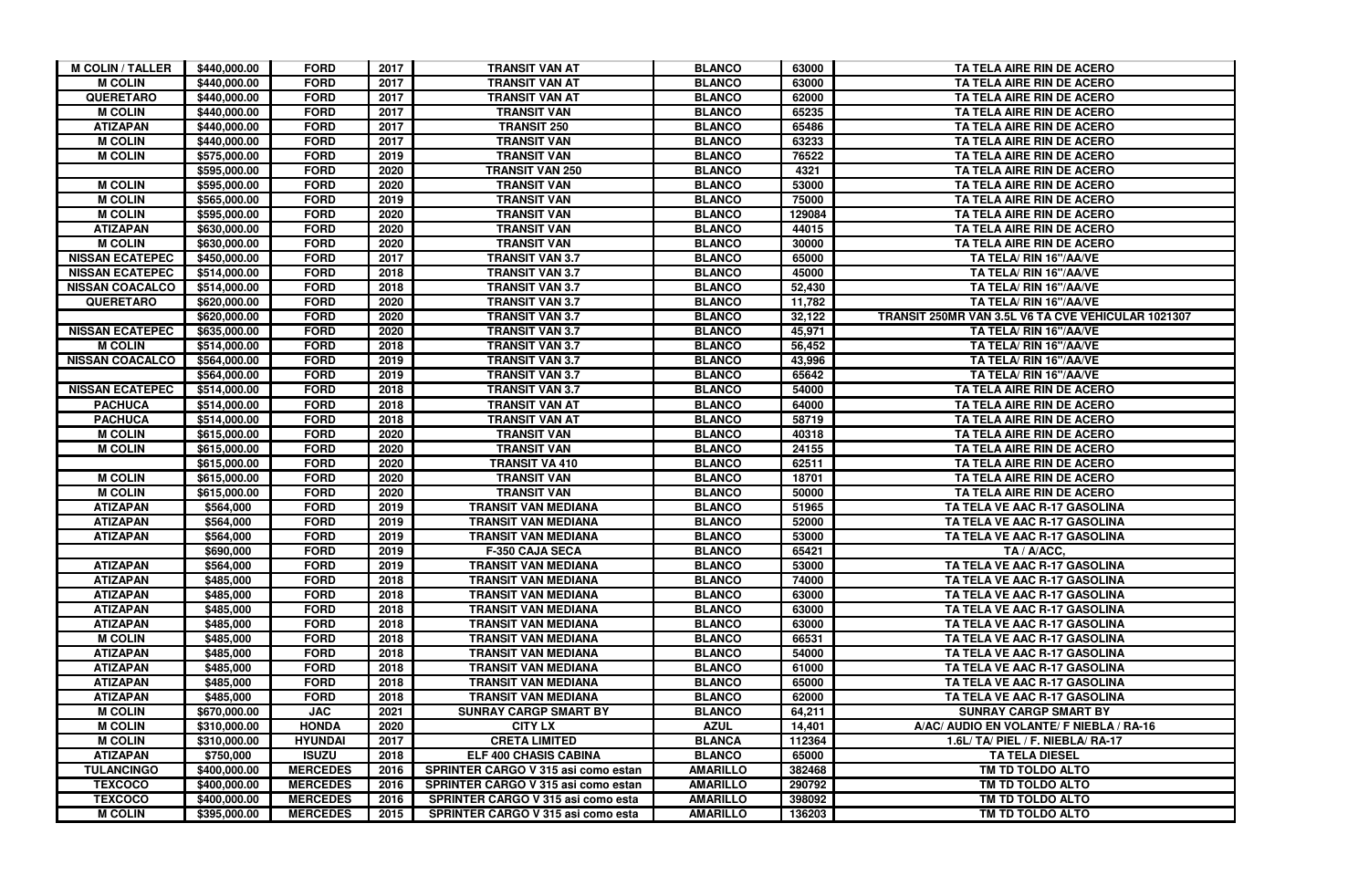| <b>M COLIN / TALLER</b> | \$440,000.00 | <b>FORD</b>     | 2017 | <b>TRANSIT VAN AT</b>                      | <b>BLANCO</b>   | 63000  | TA TELA AIRE RIN DE ACERO                          |
|-------------------------|--------------|-----------------|------|--------------------------------------------|-----------------|--------|----------------------------------------------------|
| <b>M COLIN</b>          | \$440,000.00 | <b>FORD</b>     | 2017 | <b>TRANSIT VAN AT</b>                      | <b>BLANCO</b>   | 63000  | TA TELA AIRE RIN DE ACERO                          |
| <b>QUERETARO</b>        | \$440,000.00 | <b>FORD</b>     | 2017 | <b>TRANSIT VAN AT</b>                      | <b>BLANCO</b>   | 62000  | TA TELA AIRE RIN DE ACERO                          |
| <b>M COLIN</b>          | \$440,000.00 | <b>FORD</b>     | 2017 | <b>TRANSIT VAN</b>                         | <b>BLANCO</b>   | 65235  | TA TELA AIRE RIN DE ACERO                          |
| <b>ATIZAPAN</b>         | \$440,000.00 | <b>FORD</b>     | 2017 | <b>TRANSIT 250</b>                         | <b>BLANCO</b>   | 65486  | TA TELA AIRE RIN DE ACERO                          |
| <b>M COLIN</b>          | \$440,000.00 | <b>FORD</b>     | 2017 | TRANSIT VAN                                | <b>BLANCO</b>   | 63233  | TA TELA AIRE RIN DE ACERO                          |
| <b>M COLIN</b>          | \$575,000.00 | <b>FORD</b>     | 2019 | <b>TRANSIT VAN</b>                         | <b>BLANCO</b>   | 76522  | TA TELA AIRE RIN DE ACERO                          |
|                         | \$595,000.00 | <b>FORD</b>     | 2020 | <b>TRANSIT VAN 250</b>                     | <b>BLANCO</b>   | 4321   | TA TELA AIRE RIN DE ACERO                          |
| <b>M COLIN</b>          | \$595,000.00 | <b>FORD</b>     | 2020 | <b>TRANSIT VAN</b>                         | <b>BLANCO</b>   | 53000  | TA TELA AIRE RIN DE ACERO                          |
| <b>M COLIN</b>          | \$565,000.00 | <b>FORD</b>     | 2019 | <b>TRANSIT VAN</b>                         | <b>BLANCO</b>   | 75000  | TA TELA AIRE RIN DE ACERO                          |
| <b>M COLIN</b>          | \$595,000.00 | <b>FORD</b>     | 2020 | <b>TRANSIT VAN</b>                         | <b>BLANCO</b>   | 129084 | TA TELA AIRE RIN DE ACERO                          |
| <b>ATIZAPAN</b>         | \$630,000.00 | <b>FORD</b>     | 2020 | <b>TRANSIT VAN</b>                         | <b>BLANCO</b>   | 44015  | TA TELA AIRE RIN DE ACERO                          |
| <b>M COLIN</b>          | \$630,000.00 | <b>FORD</b>     | 2020 | <b>TRANSIT VAN</b>                         | <b>BLANCO</b>   | 30000  | TA TELA AIRE RIN DE ACERO                          |
| <b>NISSAN ECATEPEC</b>  | \$450,000.00 | <b>FORD</b>     | 2017 | <b>TRANSIT VAN 3.7</b>                     | <b>BLANCO</b>   | 65000  | TA TELA/ RIN 16"/AA/VE                             |
| <b>NISSAN ECATEPEC</b>  | \$514,000.00 | <b>FORD</b>     | 2018 | <b>TRANSIT VAN 3.7</b>                     | <b>BLANCO</b>   | 45000  | TA TELA/ RIN 16"/AA/VE                             |
| <b>NISSAN COACALCO</b>  | \$514,000.00 | <b>FORD</b>     | 2018 | <b>TRANSIT VAN 3.7</b>                     | <b>BLANCO</b>   | 52,430 | TA TELA/ RIN 16"/AA/VE                             |
| <b>QUERETARO</b>        | \$620,000.00 | <b>FORD</b>     | 2020 | <b>TRANSIT VAN 3.7</b>                     | <b>BLANCO</b>   | 11,782 | TA TELA/ RIN 16"/AA/VE                             |
|                         | \$620,000.00 | <b>FORD</b>     | 2020 | <b>TRANSIT VAN 3.7</b>                     | <b>BLANCO</b>   | 32,122 | TRANSIT 250MR VAN 3.5L V6 TA CVE VEHICULAR 1021307 |
| <b>NISSAN ECATEPEC</b>  | \$635,000.00 | <b>FORD</b>     | 2020 | <b>TRANSIT VAN 3.7</b>                     | <b>BLANCO</b>   | 45,971 | TA TELA/ RIN 16"/AA/VE                             |
| <b>M COLIN</b>          | \$514,000.00 | <b>FORD</b>     | 2018 | <b>TRANSIT VAN 3.7</b>                     | <b>BLANCO</b>   | 56,452 | TA TELA/ RIN 16"/AA/VE                             |
| <b>NISSAN COACALCO</b>  | \$564,000.00 | <b>FORD</b>     | 2019 | <b>TRANSIT VAN 3.7</b>                     | <b>BLANCO</b>   | 43,996 | TA TELA/ RIN 16"/AA/VE                             |
|                         | \$564,000.00 | <b>FORD</b>     | 2019 | <b>TRANSIT VAN 3.7</b>                     | <b>BLANCO</b>   | 65642  | TA TELA/ RIN 16"/AA/VE                             |
| <b>NISSAN ECATEPEC</b>  | \$514,000.00 | <b>FORD</b>     | 2018 | <b>TRANSIT VAN 3.7</b>                     | <b>BLANCO</b>   | 54000  | TA TELA AIRE RIN DE ACERO                          |
| <b>PACHUCA</b>          | \$514,000.00 | <b>FORD</b>     | 2018 | <b>TRANSIT VAN AT</b>                      | <b>BLANCO</b>   | 64000  | TA TELA AIRE RIN DE ACERO                          |
| <b>PACHUCA</b>          | \$514,000.00 | <b>FORD</b>     | 2018 | <b>TRANSIT VAN AT</b>                      | <b>BLANCO</b>   | 58719  | TA TELA AIRE RIN DE ACERO                          |
| <b>M COLIN</b>          | \$615,000.00 | <b>FORD</b>     | 2020 | <b>TRANSIT VAN</b>                         | <b>BLANCO</b>   | 40318  | TA TELA AIRE RIN DE ACERO                          |
| <b>M COLIN</b>          | \$615,000.00 | <b>FORD</b>     | 2020 | <b>TRANSIT VAN</b>                         | <b>BLANCO</b>   | 24155  | TA TELA AIRE RIN DE ACERO                          |
|                         | \$615,000.00 | <b>FORD</b>     | 2020 | <b>TRANSIT VA 410</b>                      | <b>BLANCO</b>   | 62511  | TA TELA AIRE RIN DE ACERO                          |
| <b>M COLIN</b>          | \$615,000.00 | <b>FORD</b>     | 2020 | <b>TRANSIT VAN</b>                         | <b>BLANCO</b>   | 18701  | TA TELA AIRE RIN DE ACERO                          |
| <b>M COLIN</b>          | \$615,000.00 | <b>FORD</b>     | 2020 | <b>TRANSIT VAN</b>                         | <b>BLANCO</b>   | 50000  | TA TELA AIRE RIN DE ACERO                          |
| <b>ATIZAPAN</b>         | \$564,000    | <b>FORD</b>     | 2019 | <b>TRANSIT VAN MEDIANA</b>                 | <b>BLANCO</b>   | 51965  | TA TELA VE AAC R-17 GASOLINA                       |
| <b>ATIZAPAN</b>         | \$564,000    | <b>FORD</b>     | 2019 | <b>TRANSIT VAN MEDIANA</b>                 | <b>BLANCO</b>   | 52000  | TA TELA VE AAC R-17 GASOLINA                       |
| <b>ATIZAPAN</b>         | \$564,000    | <b>FORD</b>     | 2019 | <b>TRANSIT VAN MEDIANA</b>                 | <b>BLANCO</b>   | 53000  | TA TELA VE AAC R-17 GASOLINA                       |
|                         | \$690,000    | <b>FORD</b>     | 2019 | <b>F-350 CAJA SECA</b>                     | <b>BLANCO</b>   | 65421  | TA / A/ACC,                                        |
| <b>ATIZAPAN</b>         | \$564,000    | <b>FORD</b>     | 2019 | <b>TRANSIT VAN MEDIANA</b>                 | <b>BLANCO</b>   | 53000  | TA TELA VE AAC R-17 GASOLINA                       |
| <b>ATIZAPAN</b>         | \$485,000    | <b>FORD</b>     | 2018 | <b>TRANSIT VAN MEDIANA</b>                 | <b>BLANCO</b>   | 74000  | TA TELA VE AAC R-17 GASOLINA                       |
| <b>ATIZAPAN</b>         | \$485,000    | <b>FORD</b>     | 2018 | <b>TRANSIT VAN MEDIANA</b>                 | <b>BLANCO</b>   | 63000  | TA TELA VE AAC R-17 GASOLINA                       |
| <b>ATIZAPAN</b>         | \$485,000    | <b>FORD</b>     | 2018 | <b>TRANSIT VAN MEDIANA</b>                 | <b>BLANCO</b>   | 63000  | TA TELA VE AAC R-17 GASOLINA                       |
| <b>ATIZAPAN</b>         | \$485,000    | <b>FORD</b>     | 2018 | <b>TRANSIT VAN MEDIANA</b>                 | <b>BLANCO</b>   | 63000  | TA TELA VE AAC R-17 GASOLINA                       |
| <b>M COLIN</b>          | \$485,000    | <b>FORD</b>     | 2018 | <b>TRANSIT VAN MEDIANA</b>                 | <b>BLANCO</b>   | 66531  | TA TELA VE AAC R-17 GASOLINA                       |
| <b>ATIZAPAN</b>         | \$485,000    | <b>FORD</b>     | 2018 | <b>TRANSIT VAN MEDIANA</b>                 | <b>BLANCO</b>   | 54000  | TA TELA VE AAC R-17 GASOLINA                       |
| <b>ATIZAPAN</b>         | \$485,000    | <b>FORD</b>     | 2018 | <b>TRANSIT VAN MEDIANA</b>                 | <b>BLANCO</b>   | 61000  | TA TELA VE AAC R-17 GASOLINA                       |
| <b>ATIZAPAN</b>         | \$485,000    | <b>FORD</b>     | 2018 | <b>TRANSIT VAN MEDIANA</b>                 | <b>BLANCO</b>   | 65000  | TA TELA VE AAC R-17 GASOLINA                       |
| <b>ATIZAPAN</b>         | \$485,000    | <b>FORD</b>     | 2018 | <b>TRANSIT VAN MEDIANA</b>                 | <b>BLANCO</b>   | 62000  | TA TELA VE AAC R-17 GASOLINA                       |
| <b>M COLIN</b>          | \$670,000.00 | <b>JAC</b>      | 2021 | <b>SUNRAY CARGP SMART BY</b>               | <b>BLANCO</b>   | 64,211 | <b>SUNRAY CARGP SMART BY</b>                       |
| <b>M COLIN</b>          | \$310,000.00 | <b>HONDA</b>    | 2020 | <b>CITY LX</b>                             | <b>AZUL</b>     | 14,401 | A/AC/ AUDIO EN VOLANTE/ F NIEBLA / RA-16           |
| <b>M COLIN</b>          | \$310,000.00 | <b>HYUNDAI</b>  | 2017 | <b>CRETA LIMITED</b>                       | <b>BLANCA</b>   | 112364 | 1.6L/ TA/ PIEL / F. NIEBLA/ RA-17                  |
| <b>ATIZAPAN</b>         | \$750,000    | <b>ISUZU</b>    | 2018 | <b>ELF 400 CHASIS CABINA</b>               | <b>BLANCO</b>   | 65000  | <b>TA TELA DIESEL</b>                              |
| <b>TULANCINGO</b>       | \$400,000.00 | <b>MERCEDES</b> | 2016 | SPRINTER CARGO V 315 asi como estan        | <b>AMARILLO</b> | 382468 | TM TD TOLDO ALTO                                   |
| <b>TEXCOCO</b>          | \$400,000.00 | <b>MERCEDES</b> | 2016 | <b>SPRINTER CARGO V 315 asi como estan</b> | <b>AMARILLO</b> | 290792 | TM TD TOLDO ALTO                                   |
| <b>TEXCOCO</b>          | \$400,000.00 | <b>MERCEDES</b> | 2016 | SPRINTER CARGO V 315 asi como esta         | <b>AMARILLO</b> | 398092 | TM TD TOLDO ALTO                                   |
| <b>M COLIN</b>          | \$395,000.00 | <b>MERCEDES</b> | 2015 | SPRINTER CARGO V 315 asi como esta         | <b>AMARILLO</b> | 136203 | TM TD TOLDO ALTO                                   |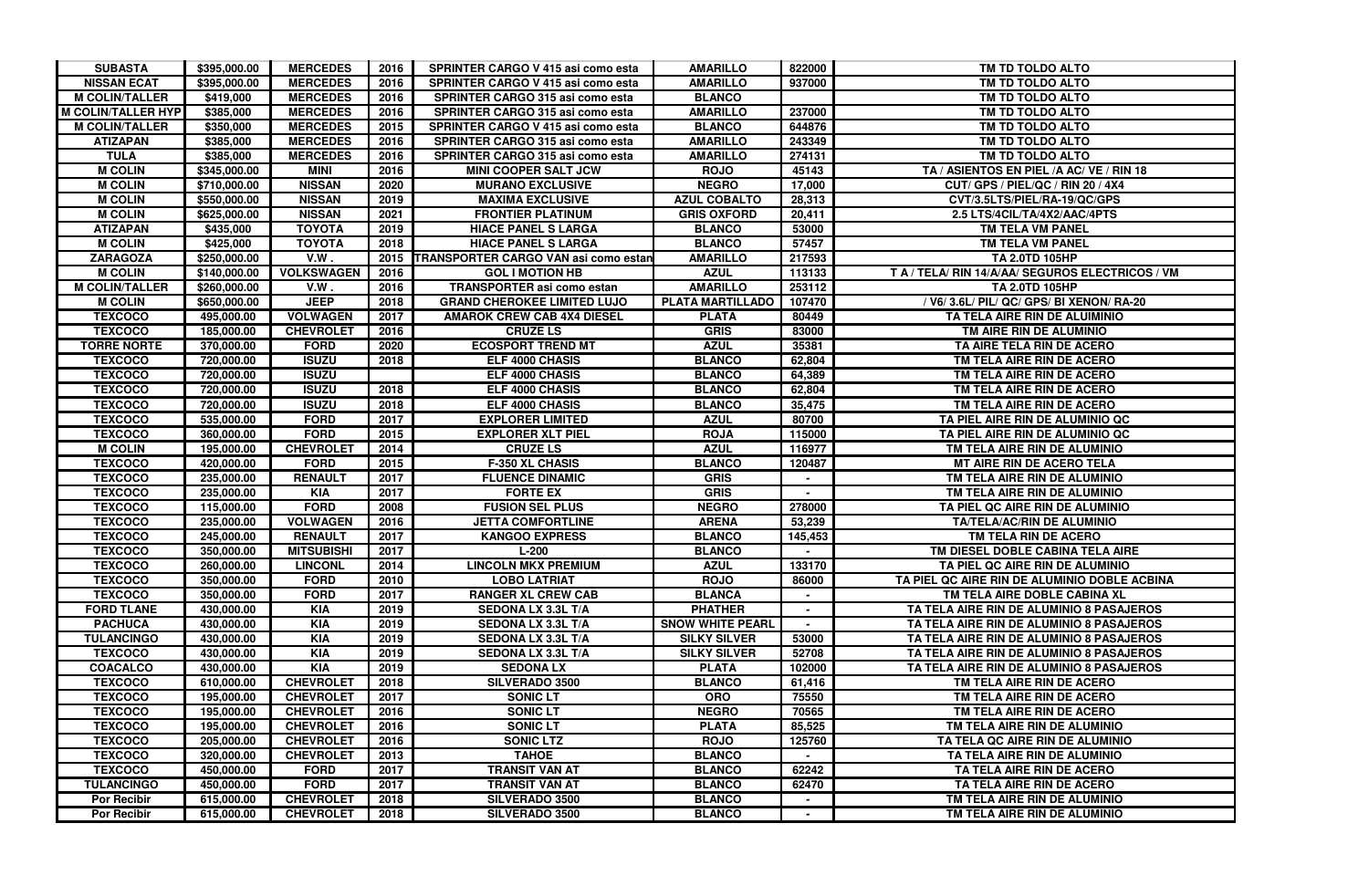| <b>SUBASTA</b>            | \$395,000.00 | <b>MERCEDES</b>   | 2016 | <b>SPRINTER CARGO V 415 asi como esta</b>   | <b>AMARILLO</b>         | 822000  | TM TD TOLDO ALTO                                 |
|---------------------------|--------------|-------------------|------|---------------------------------------------|-------------------------|---------|--------------------------------------------------|
| <b>NISSAN ECAT</b>        | \$395,000.00 | <b>MERCEDES</b>   | 2016 | <b>SPRINTER CARGO V 415 asi como esta</b>   | <b>AMARILLO</b>         | 937000  | TM TD TOLDO ALTO                                 |
| <b>M COLIN/TALLER</b>     | \$419,000    | <b>MERCEDES</b>   | 2016 | <b>SPRINTER CARGO 315 asi como esta</b>     | <b>BLANCO</b>           |         | TM TD TOLDO ALTO                                 |
| <b>M COLIN/TALLER HYP</b> | \$385,000    | <b>MERCEDES</b>   | 2016 | SPRINTER CARGO 315 asi como esta            | <b>AMARILLO</b>         | 237000  | TM TD TOLDO ALTO                                 |
| <b>M COLIN/TALLER</b>     | \$350,000    | <b>MERCEDES</b>   | 2015 | <b>SPRINTER CARGO V 415 asi como esta</b>   | <b>BLANCO</b>           | 644876  | TM TD TOLDO ALTO                                 |
| <b>ATIZAPAN</b>           | \$385,000    | <b>MERCEDES</b>   | 2016 | SPRINTER CARGO 315 asi como esta            | <b>AMARILLO</b>         | 243349  | TM TD TOLDO ALTO                                 |
| <b>TULA</b>               | \$385,000    | <b>MERCEDES</b>   | 2016 | SPRINTER CARGO 315 asi como esta            | <b>AMARILLO</b>         | 274131  | TM TD TOLDO ALTO                                 |
| <b>M COLIN</b>            | \$345,000.00 | <b>MINI</b>       | 2016 | <b>MINI COOPER SALT JCW</b>                 | <b>ROJO</b>             | 45143   | TA / ASIENTOS EN PIEL /A AC/ VE / RIN 18         |
| <b>M COLIN</b>            | \$710,000.00 | <b>NISSAN</b>     | 2020 | <b>MURANO EXCLUSIVE</b>                     | <b>NEGRO</b>            | 17,000  | CUT/ GPS / PIEL/QC / RIN 20 / 4X4                |
| <b>M COLIN</b>            | \$550,000.00 | <b>NISSAN</b>     | 2019 | <b>MAXIMA EXCLUSIVE</b>                     | <b>AZUL COBALTO</b>     | 28,313  | CVT/3.5LTS/PIEL/RA-19/QC/GPS                     |
| <b>M COLIN</b>            | \$625,000.00 | <b>NISSAN</b>     | 2021 | <b>FRONTIER PLATINUM</b>                    | <b>GRIS OXFORD</b>      | 20,411  | 2.5 LTS/4CIL/TA/4X2/AAC/4PTS                     |
| <b>ATIZAPAN</b>           | \$435,000    | <b>TOYOTA</b>     | 2019 | <b>HIACE PANEL S LARGA</b>                  | <b>BLANCO</b>           | 53000   | TM TELA VM PANEL                                 |
| <b>M COLIN</b>            | \$425,000    | <b>TOYOTA</b>     | 2018 | <b>HIACE PANEL S LARGA</b>                  | <b>BLANCO</b>           | 57457   | TM TELA VM PANEL                                 |
| <b>ZARAGOZA</b>           | \$250,000.00 | V.W.              | 2015 | <b>TRANSPORTER CARGO VAN asi como estan</b> | <b>AMARILLO</b>         | 217593  | <b>TA 2.0TD 105HP</b>                            |
| <b>M COLIN</b>            | \$140,000.00 | <b>VOLKSWAGEN</b> | 2016 | <b>GOL I MOTION HB</b>                      | <b>AZUL</b>             | 113133  | T A / TELA/ RIN 14/A/AA/ SEGUROS ELECTRICOS / VM |
| <b>M COLIN/TALLER</b>     | \$260,000.00 | V.W.              | 2016 | <b>TRANSPORTER asi como estan</b>           | <b>AMARILLO</b>         | 253112  | TA 2.0TD 105HP                                   |
| <b>M COLIN</b>            | \$650,000.00 | <b>JEEP</b>       | 2018 | <b>GRAND CHEROKEE LIMITED LUJO</b>          | <b>PLATA MARTILLADO</b> | 107470  | / V6/ 3.6L/ PIL/ QC/ GPS/ BI XENON/ RA-20        |
| <b>TEXCOCO</b>            | 495,000.00   | <b>VOLWAGEN</b>   | 2017 | <b>AMAROK CREW CAB 4X4 DIESEL</b>           | <b>PLATA</b>            | 80449   | TA TELA AIRE RIN DE ALUIMINIO                    |
| <b>TEXCOCO</b>            | 185,000.00   | <b>CHEVROLET</b>  | 2016 | <b>CRUZE LS</b>                             | <b>GRIS</b>             | 83000   | TM AIRE RIN DE ALUMINIO                          |
| <b>TORRE NORTE</b>        | 370,000.00   | <b>FORD</b>       | 2020 | <b>ECOSPORT TREND MT</b>                    | <b>AZUL</b>             | 35381   | TA AIRE TELA RIN DE ACERO                        |
| <b>TEXCOCO</b>            | 720,000.00   | <b>ISUZU</b>      | 2018 | ELF 4000 CHASIS                             | <b>BLANCO</b>           | 62,804  | TM TELA AIRE RIN DE ACERO                        |
| <b>TEXCOCO</b>            | 720,000.00   | <b>ISUZU</b>      |      | ELF 4000 CHASIS                             | <b>BLANCO</b>           | 64,389  | TM TELA AIRE RIN DE ACERO                        |
| <b>TEXCOCO</b>            | 720,000.00   | <b>ISUZU</b>      | 2018 | ELF 4000 CHASIS                             | <b>BLANCO</b>           | 62,804  | TM TELA AIRE RIN DE ACERO                        |
| <b>TEXCOCO</b>            | 720,000.00   | <b>ISUZU</b>      | 2018 | ELF 4000 CHASIS                             | <b>BLANCO</b>           | 35,475  | TM TELA AIRE RIN DE ACERO                        |
| <b>TEXCOCO</b>            | 535,000.00   | <b>FORD</b>       | 2017 | <b>EXPLORER LIMITED</b>                     | <b>AZUL</b>             | 80700   | TA PIEL AIRE RIN DE ALUMINIO QC                  |
| <b>TEXCOCO</b>            | 360,000.00   | <b>FORD</b>       | 2015 | <b>EXPLORER XLT PIEL</b>                    | <b>ROJA</b>             | 115000  | TA PIEL AIRE RIN DE ALUMINIO QC                  |
| <b>M COLIN</b>            | 195,000.00   | <b>CHEVROLET</b>  | 2014 | <b>CRUZE LS</b>                             | <b>AZUL</b>             | 116977  | TM TELA AIRE RIN DE ALUMINIO                     |
| <b>TEXCOCO</b>            | 420,000.00   | <b>FORD</b>       | 2015 | <b>F-350 XL CHASIS</b>                      | <b>BLANCO</b>           | 120487  | <b>MT AIRE RIN DE ACERO TELA</b>                 |
| <b>TEXCOCO</b>            | 235,000.00   | <b>RENAULT</b>    | 2017 | <b>FLUENCE DINAMIC</b>                      | <b>GRIS</b>             |         | TM TELA AIRE RIN DE ALUMINIO                     |
| <b>TEXCOCO</b>            | 235,000.00   | <b>KIA</b>        | 2017 | <b>FORTE EX</b>                             | <b>GRIS</b>             |         | TM TELA AIRE RIN DE ALUMINIO                     |
| <b>TEXCOCO</b>            | 115,000.00   | <b>FORD</b>       | 2008 | <b>FUSION SEL PLUS</b>                      | <b>NEGRO</b>            | 278000  | TA PIEL QC AIRE RIN DE ALUMINIO                  |
| <b>TEXCOCO</b>            | 235,000.00   | <b>VOLWAGEN</b>   | 2016 | <b>JETTA COMFORTLINE</b>                    | <b>ARENA</b>            | 53,239  | <b>TA/TELA/AC/RIN DE ALUMINIO</b>                |
| <b>TEXCOCO</b>            | 245,000.00   | <b>RENAULT</b>    | 2017 | <b>KANGOO EXPRESS</b>                       | <b>BLANCO</b>           | 145,453 | TM TELA RIN DE ACERO                             |
| <b>TEXCOCO</b>            | 350,000.00   | <b>MITSUBISHI</b> | 2017 | $L-200$                                     | <b>BLANCO</b>           |         | TM DIESEL DOBLE CABINA TELA AIRE                 |
| <b>TEXCOCO</b>            | 260,000.00   | <b>LINCONL</b>    | 2014 | <b>LINCOLN MKX PREMIUM</b>                  | <b>AZUL</b>             | 133170  | TA PIEL QC AIRE RIN DE ALUMINIO                  |
| <b>TEXCOCO</b>            | 350,000.00   | <b>FORD</b>       | 2010 | <b>LOBO LATRIAT</b>                         | <b>ROJO</b>             | 86000   | TA PIEL QC AIRE RIN DE ALUMINIO DOBLE ACBINA     |
| <b>TEXCOCO</b>            | 350,000.00   | <b>FORD</b>       | 2017 | <b>RANGER XL CREW CAB</b>                   | <b>BLANCA</b>           |         | TM TELA AIRE DOBLE CABINA XL                     |
| <b>FORD TLANE</b>         | 430,000.00   | <b>KIA</b>        | 2019 | <b>SEDONA LX 3.3L T/A</b>                   | <b>PHATHER</b>          |         | TA TELA AIRE RIN DE ALUMINIO 8 PASAJEROS         |
| <b>PACHUCA</b>            | 430,000.00   | <b>KIA</b>        | 2019 | <b>SEDONA LX 3.3L T/A</b>                   | <b>SNOW WHITE PEARL</b> |         | TA TELA AIRE RIN DE ALUMINIO 8 PASAJEROS         |
| <b>TULANCINGO</b>         | 430,000.00   | <b>KIA</b>        | 2019 | <b>SEDONA LX 3.3L T/A</b>                   | <b>SILKY SILVER</b>     | 53000   | TA TELA AIRE RIN DE ALUMINIO 8 PASAJEROS         |
| <b>TEXCOCO</b>            | 430,000.00   | <b>KIA</b>        | 2019 | <b>SEDONA LX 3.3L T/A</b>                   | <b>SILKY SILVER</b>     | 52708   | TA TELA AIRE RIN DE ALUMINIO 8 PASAJEROS         |
| <b>COACALCO</b>           | 430,000.00   | <b>KIA</b>        | 2019 | <b>SEDONA LX</b>                            | <b>PLATA</b>            | 102000  | TA TELA AIRE RIN DE ALUMINIO 8 PASAJEROS         |
| <b>TEXCOCO</b>            | 610,000.00   | <b>CHEVROLET</b>  | 2018 | <b>SILVERADO 3500</b>                       | <b>BLANCO</b>           | 61,416  | TM TELA AIRE RIN DE ACERO                        |
| <b>TEXCOCO</b>            | 195,000.00   | <b>CHEVROLET</b>  | 2017 | <b>SONIC LT</b>                             | <b>ORO</b>              | 75550   | TM TELA AIRE RIN DE ACERO                        |
| <b>TEXCOCO</b>            | 195,000.00   | <b>CHEVROLET</b>  | 2016 | <b>SONIC LT</b>                             | <b>NEGRO</b>            | 70565   | TM TELA AIRE RIN DE ACERO                        |
| <b>TEXCOCO</b>            | 195,000.00   | <b>CHEVROLET</b>  | 2016 | <b>SONIC LT</b>                             | <b>PLATA</b>            | 85,525  | TM TELA AIRE RIN DE ALUMINIO                     |
| <b>TEXCOCO</b>            | 205,000.00   | <b>CHEVROLET</b>  | 2016 | <b>SONIC LTZ</b>                            | <b>ROJO</b>             | 125760  | TA TELA QC AIRE RIN DE ALUMINIO                  |
| <b>TEXCOCO</b>            | 320,000.00   | <b>CHEVROLET</b>  | 2013 | <b>TAHOE</b>                                | <b>BLANCO</b>           |         | TA TELA AIRE RIN DE ALUMINIO                     |
| <b>TEXCOCO</b>            | 450,000.00   | <b>FORD</b>       | 2017 | <b>TRANSIT VAN AT</b>                       | <b>BLANCO</b>           | 62242   | TA TELA AIRE RIN DE ACERO                        |
| <b>TULANCINGO</b>         | 450,000.00   | <b>FORD</b>       | 2017 | <b>TRANSIT VAN AT</b>                       | <b>BLANCO</b>           | 62470   | TA TELA AIRE RIN DE ACERO                        |
| <b>Por Recibir</b>        | 615,000.00   | <b>CHEVROLET</b>  | 2018 | <b>SILVERADO 3500</b>                       | <b>BLANCO</b>           |         | TM TELA AIRE RIN DE ALUMINIO                     |
| <b>Por Recibir</b>        | 615,000.00   | <b>CHEVROLET</b>  | 2018 | <b>SILVERADO 3500</b>                       | <b>BLANCO</b>           |         | TM TELA AIRE RIN DE ALUMINIO                     |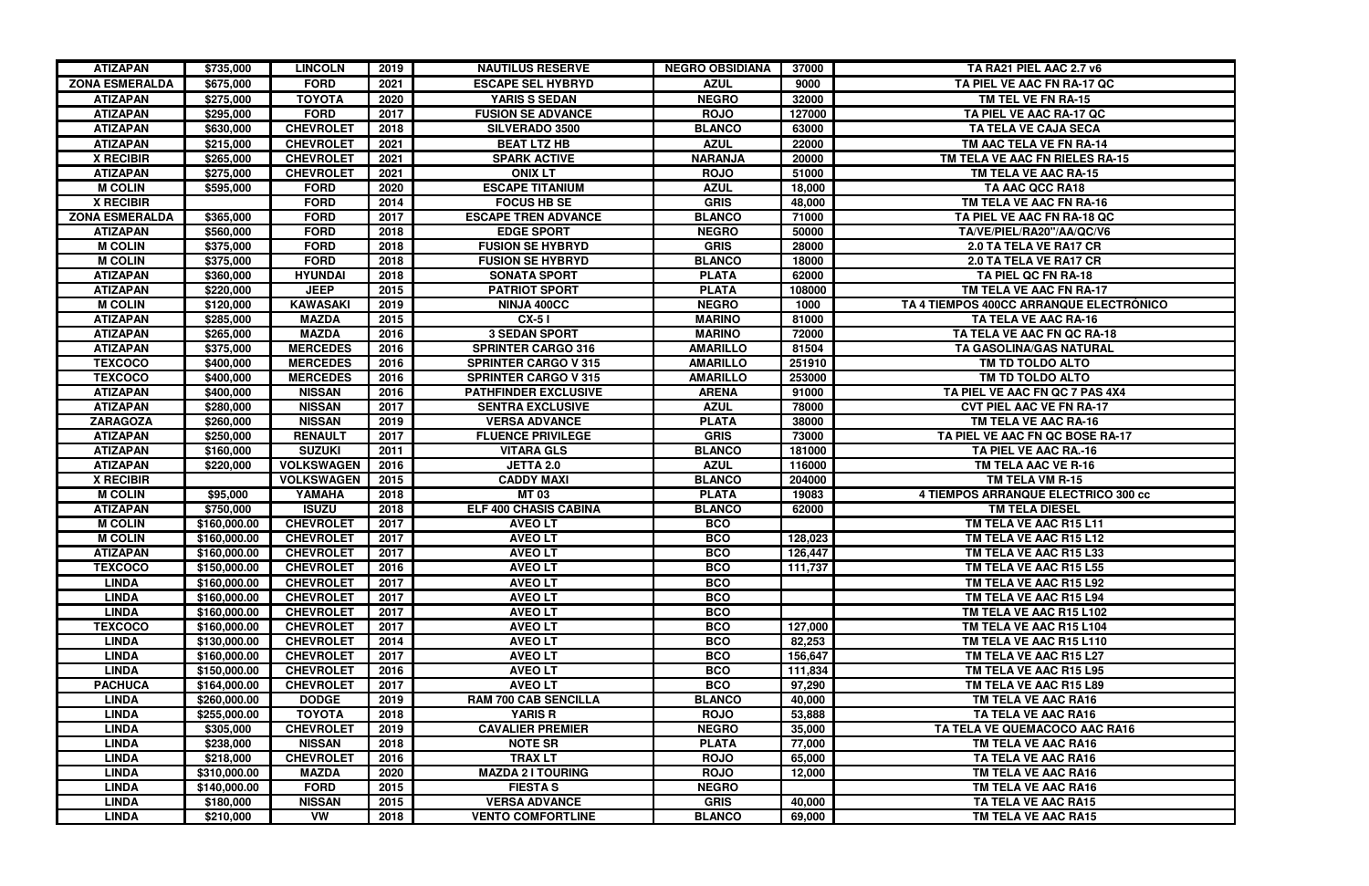| <b>ZONA ESMERALDA</b><br><b>FORD</b><br>2021<br><b>AZUL</b><br>9000<br>TA PIEL VE AAC FN RA-17 QC<br>\$675,000<br><b>ESCAPE SEL HYBRYD</b><br><b>YARIS S SEDAN</b><br><b>ATIZAPAN</b><br>\$275,000<br><b>TOYOTA</b><br>2020<br><b>NEGRO</b><br>32000<br>TM TEL VE FN RA-15<br><b>ATIZAPAN</b><br><b>FORD</b><br>2017<br>TA PIEL VE AAC RA-17 QC<br>\$295,000<br><b>FUSION SE ADVANCE</b><br><b>ROJO</b><br>127000<br>2018<br><b>ATIZAPAN</b><br><b>CHEVROLET</b><br><b>BLANCO</b><br>63000<br>\$630,000<br><b>SILVERADO 3500</b><br>TA TELA VE CAJA SECA<br><b>ATIZAPAN</b><br>\$215,000<br><b>CHEVROLET</b><br>2021<br><b>BEAT LTZ HB</b><br><b>AZUL</b><br>22000<br>TM AAC TELA VE FN RA-14<br>2021<br><b>NARANJA</b><br><b>X RECIBIR</b><br>\$265,000<br><b>CHEVROLET</b><br><b>SPARK ACTIVE</b><br>20000<br>TM TELA VE AAC FN RIELES RA-15<br><b>ATIZAPAN</b><br>\$275,000<br><b>CHEVROLET</b><br>2021<br><b>ONIX LT</b><br><b>ROJO</b><br>51000<br>TM TELA VE AAC RA-15<br><b>M COLIN</b><br><b>FORD</b><br>2020<br><b>AZUL</b><br><b>ESCAPE TITANIUM</b><br>18,000<br>TA AAC QCC RA18<br>\$595,000<br><b>X RECIBIR</b><br><b>FORD</b><br>2014<br><b>FOCUS HB SE</b><br><b>GRIS</b><br>48,000<br>TM TELA VE AAC FN RA-16<br><b>ZONA ESMERALDA</b><br>2017<br>71000<br>\$365,000<br><b>FORD</b><br><b>ESCAPE TREN ADVANCE</b><br><b>BLANCO</b><br>TA PIEL VE AAC FN RA-18 QC<br>2018<br><b>NEGRO</b><br>50000<br><b>ATIZAPAN</b><br>\$560,000<br><b>FORD</b><br><b>EDGE SPORT</b><br>TA/VE/PIEL/RA20"/AA/QC/V6<br>2018<br><b>M COLIN</b><br>\$375,000<br><b>FORD</b><br><b>FUSION SE HYBRYD</b><br><b>GRIS</b><br>28000<br>2.0 TA TELA VE RA17 CR<br>2018<br><b>M COLIN</b><br>\$375,000<br><b>FORD</b><br><b>FUSION SE HYBRYD</b><br><b>BLANCO</b><br>18000<br>2.0 TA TELA VE RA17 CR<br>2018<br><b>ATIZAPAN</b><br><b>HYUNDAI</b><br><b>SONATA SPORT</b><br><b>PLATA</b><br>62000<br>TA PIEL QC FN RA-18<br>\$360,000<br>2015<br><b>ATIZAPAN</b><br><b>JEEP</b><br><b>PATRIOT SPORT</b><br><b>PLATA</b><br>108000<br>\$220,000<br>TM TELA VE AAC FN RA-17<br><b>KAWASAKI</b><br>2019<br><b>NEGRO</b><br>TA 4 TIEMPOS 400CC ARRANQUE ELECTRÓNICO<br><b>M COLIN</b><br>\$120,000<br><b>NINJA 400CC</b><br>1000<br>2015<br><b>MARINO</b><br><b>ATIZAPAN</b><br>\$285,000<br><b>MAZDA</b><br>$CX-51$<br>81000<br>TA TELA VE AAC RA-16<br>2016<br><b>ATIZAPAN</b><br>\$265,000<br><b>MAZDA</b><br><b>3 SEDAN SPORT</b><br><b>MARINO</b><br>72000<br>TA TELA VE AAC FN QC RA-18<br><b>ATIZAPAN</b><br><b>MERCEDES</b><br>2016<br><b>AMARILLO</b><br>\$375,000<br><b>SPRINTER CARGO 316</b><br>81504<br>TA GASOLINA/GAS NATURAL<br><b>TEXCOCO</b><br><b>MERCEDES</b><br>2016<br><b>AMARILLO</b><br>251910<br>\$400,000<br><b>SPRINTER CARGO V 315</b><br>TM TD TOLDO ALTO<br><b>TEXCOCO</b><br><b>MERCEDES</b><br><b>AMARILLO</b><br>253000<br>\$400,000<br>2016<br><b>SPRINTER CARGO V 315</b><br>TM TD TOLDO ALTO<br><b>ATIZAPAN</b><br><b>NISSAN</b><br>2016<br><b>ARENA</b><br>\$400,000<br><b>PATHFINDER EXCLUSIVE</b><br>91000<br>TA PIEL VE AAC FN QC 7 PAS 4X4<br><b>NISSAN</b><br>78000<br><b>ATIZAPAN</b><br>\$280,000<br>2017<br><b>SENTRA EXCLUSIVE</b><br><b>AZUL</b><br><b>CVT PIEL AAC VE FN RA-17</b><br><b>NISSAN</b><br>38000<br><b>ZARAGOZA</b><br>\$260,000<br>2019<br><b>VERSA ADVANCE</b><br><b>PLATA</b><br>TM TELA VE AAC RA-16<br><b>ATIZAPAN</b><br>2017<br><b>RENAULT</b><br><b>FLUENCE PRIVILEGE</b><br><b>GRIS</b><br>73000<br>TA PIEL VE AAC FN QC BOSE RA-17<br>\$250,000<br><b>SUZUKI</b><br>2011<br><b>BLANCO</b><br>181000<br>TA PIEL VE AAC RA.-16<br><b>ATIZAPAN</b><br>\$160,000<br><b>VITARA GLS</b><br><b>ATIZAPAN</b><br><b>VOLKSWAGEN</b><br>2016<br><b>AZUL</b><br>\$220,000<br><b>JETTA 2.0</b><br>116000<br>TM TELA AAC VE R-16<br>2015<br><b>X RECIBIR</b><br><b>VOLKSWAGEN</b><br><b>CADDY MAXI</b><br><b>BLANCO</b><br>204000<br>TM TELA VM R-15<br>2018<br><b>M COLIN</b><br>\$95,000<br>YAMAHA<br><b>MT03</b><br><b>PLATA</b><br>19083<br>4 TIEMPOS ARRANQUE ELECTRICO 300 cc<br><b>ATIZAPAN</b><br><b>ISUZU</b><br>2018<br><b>BLANCO</b><br><b>ELF 400 CHASIS CABINA</b><br>62000<br><b>TM TELA DIESEL</b><br>\$750,000<br><b>M COLIN</b><br><b>CHEVROLET</b><br>2017<br><b>AVEOLT</b><br><b>BCO</b><br>TM TELA VE AAC R15 L11<br>\$160,000.00<br><b>AVEOLT</b><br><b>M COLIN</b><br>\$160,000.00<br><b>CHEVROLET</b><br>2017<br><b>BCO</b><br>128,023<br>TM TELA VE AAC R15 L12<br>2017<br><b>ATIZAPAN</b><br><b>CHEVROLET</b><br><b>AVEOLT</b><br><b>BCO</b><br>126,447<br>TM TELA VE AAC R15 L33<br>\$160,000.00<br><b>TEXCOCO</b><br><b>CHEVROLET</b><br>2016<br><b>AVEOLT</b><br><b>BCO</b><br>111,737<br>\$150,000.00<br>TM TELA VE AAC R15 L55<br><b>LINDA</b><br>\$160,000.00<br><b>CHEVROLET</b><br>2017<br><b>AVEOLT</b><br><b>BCO</b><br>TM TELA VE AAC R15 L92<br><b>LINDA</b><br><b>AVEOLT</b><br><b>BCO</b><br>\$160,000.00<br><b>CHEVROLET</b><br>2017<br>TM TELA VE AAC R15 L94<br><b>AVEOLT</b><br><b>BCO</b><br><b>LINDA</b><br>\$160,000.00<br><b>CHEVROLET</b><br>2017<br>TM TELA VE AAC R15 L102<br><b>AVEO LT</b><br><b>TEXCOCO</b><br><b>CHEVROLET</b><br>2017<br><b>BCO</b><br>127,000<br>\$160,000.00<br>TM TELA VE AAC R15 L104<br><b>AVEOLT</b><br><b>BCO</b><br>82,253<br><b>LINDA</b><br>\$130,000.00<br><b>CHEVROLET</b><br>2014<br>TM TELA VE AAC R15 L110<br><b>CHEVROLET</b><br><b>AVEOLT</b><br><b>BCO</b><br>156,647<br><b>LINDA</b><br>\$160,000.00<br>2017<br>TM TELA VE AAC R15 L27<br><b>LINDA</b><br><b>CHEVROLET</b><br>2016<br><b>AVEOLT</b><br>111,834<br>TM TELA VE AAC R15 L95<br>\$150,000.00<br><b>BCO</b><br><b>AVEOLT</b><br><b>BCO</b><br><b>PACHUCA</b><br><b>CHEVROLET</b><br>2017<br>97,290<br>TM TELA VE AAC R15 L89<br>\$164,000.00<br><b>RAM 700 CAB SENCILLA</b><br><b>LINDA</b><br>\$260,000.00<br><b>DODGE</b><br>2019<br><b>BLANCO</b><br>40,000<br>TM TELA VE AAC RA16<br><b>TOYOTA</b><br>2018<br><b>YARIS R</b><br><b>ROJO</b><br>TA TELA VE AAC RA16<br><b>LINDA</b><br>\$255,000.00<br>53,888<br><b>CHEVROLET</b><br><b>CAVALIER PREMIER</b><br><b>NEGRO</b><br><b>LINDA</b><br>\$305,000<br>2019<br>35,000<br>TA TELA VE QUEMACOCO AAC RA16<br><b>LINDA</b><br><b>NISSAN</b><br>2018<br><b>NOTE SR</b><br><b>PLATA</b><br>77,000<br>TM TELA VE AAC RA16<br>\$238,000<br><b>TRAXLT</b><br><b>LINDA</b><br>\$218,000<br><b>CHEVROLET</b><br>2016<br><b>ROJO</b><br>65,000<br>TA TELA VE AAC RA16<br><b>LINDA</b><br><b>MAZDA</b><br>2020<br><b>MAZDA 2 I TOURING</b><br><b>ROJO</b><br>12,000<br>TM TELA VE AAC RA16<br>\$310,000.00<br><b>LINDA</b><br><b>FORD</b><br>2015<br><b>FIESTAS</b><br><b>NEGRO</b><br>TM TELA VE AAC RA16<br>\$140,000.00<br>2015<br><b>VERSA ADVANCE</b><br><b>GRIS</b><br><b>LINDA</b><br><b>NISSAN</b><br>40,000<br>TA TELA VE AAC RA15<br>\$180,000<br><b>LINDA</b> | <b>ATIZAPAN</b> | \$735,000 | <b>LINCOLN</b> | 2019 | <b>NAUTILUS RESERVE</b>  | <b>NEGRO OBSIDIANA</b> | 37000  | TA RA21 PIEL AAC 2.7 v6 |
|---------------------------------------------------------------------------------------------------------------------------------------------------------------------------------------------------------------------------------------------------------------------------------------------------------------------------------------------------------------------------------------------------------------------------------------------------------------------------------------------------------------------------------------------------------------------------------------------------------------------------------------------------------------------------------------------------------------------------------------------------------------------------------------------------------------------------------------------------------------------------------------------------------------------------------------------------------------------------------------------------------------------------------------------------------------------------------------------------------------------------------------------------------------------------------------------------------------------------------------------------------------------------------------------------------------------------------------------------------------------------------------------------------------------------------------------------------------------------------------------------------------------------------------------------------------------------------------------------------------------------------------------------------------------------------------------------------------------------------------------------------------------------------------------------------------------------------------------------------------------------------------------------------------------------------------------------------------------------------------------------------------------------------------------------------------------------------------------------------------------------------------------------------------------------------------------------------------------------------------------------------------------------------------------------------------------------------------------------------------------------------------------------------------------------------------------------------------------------------------------------------------------------------------------------------------------------------------------------------------------------------------------------------------------------------------------------------------------------------------------------------------------------------------------------------------------------------------------------------------------------------------------------------------------------------------------------------------------------------------------------------------------------------------------------------------------------------------------------------------------------------------------------------------------------------------------------------------------------------------------------------------------------------------------------------------------------------------------------------------------------------------------------------------------------------------------------------------------------------------------------------------------------------------------------------------------------------------------------------------------------------------------------------------------------------------------------------------------------------------------------------------------------------------------------------------------------------------------------------------------------------------------------------------------------------------------------------------------------------------------------------------------------------------------------------------------------------------------------------------------------------------------------------------------------------------------------------------------------------------------------------------------------------------------------------------------------------------------------------------------------------------------------------------------------------------------------------------------------------------------------------------------------------------------------------------------------------------------------------------------------------------------------------------------------------------------------------------------------------------------------------------------------------------------------------------------------------------------------------------------------------------------------------------------------------------------------------------------------------------------------------------------------------------------------------------------------------------------------------------------------------------------------------------------------------------------------------------------------------------------------------------------------------------------------------------------------------------------------------------------------------------------------------------------------------------------------------------------------------------------------------------------------------------------------------------------------------------------------------------------------------------------------------------------------------------------------------------------------------------------------------------------------------------------------------------------------------------------------------------------------------------------------------------------------------------------------------------------------------------------------------------------------------------------------------------------------------------------------------------------------------------------------------------------------------------------------------------------------------------------------------------------------------------------------------------------------------------------------------------------------------------------------------------------------------------------------------------------------------------------------------------------------------------------------------------------------------------------------------------------------------------------------------------------------------------------------------------------------------------------------------------------------------------------------------------------|-----------------|-----------|----------------|------|--------------------------|------------------------|--------|-------------------------|
|                                                                                                                                                                                                                                                                                                                                                                                                                                                                                                                                                                                                                                                                                                                                                                                                                                                                                                                                                                                                                                                                                                                                                                                                                                                                                                                                                                                                                                                                                                                                                                                                                                                                                                                                                                                                                                                                                                                                                                                                                                                                                                                                                                                                                                                                                                                                                                                                                                                                                                                                                                                                                                                                                                                                                                                                                                                                                                                                                                                                                                                                                                                                                                                                                                                                                                                                                                                                                                                                                                                                                                                                                                                                                                                                                                                                                                                                                                                                                                                                                                                                                                                                                                                                                                                                                                                                                                                                                                                                                                                                                                                                                                                                                                                                                                                                                                                                                                                                                                                                                                                                                                                                                                                                                                                                                                                                                                                                                                                                                                                                                                                                                                                                                                                                                                                                                                                                                                                                                                                                                                                                                                                                                                                                                                                                                                                                                                                                                                                                                                                                                                                                                                                                                                                                                                                                                     |                 |           |                |      |                          |                        |        |                         |
|                                                                                                                                                                                                                                                                                                                                                                                                                                                                                                                                                                                                                                                                                                                                                                                                                                                                                                                                                                                                                                                                                                                                                                                                                                                                                                                                                                                                                                                                                                                                                                                                                                                                                                                                                                                                                                                                                                                                                                                                                                                                                                                                                                                                                                                                                                                                                                                                                                                                                                                                                                                                                                                                                                                                                                                                                                                                                                                                                                                                                                                                                                                                                                                                                                                                                                                                                                                                                                                                                                                                                                                                                                                                                                                                                                                                                                                                                                                                                                                                                                                                                                                                                                                                                                                                                                                                                                                                                                                                                                                                                                                                                                                                                                                                                                                                                                                                                                                                                                                                                                                                                                                                                                                                                                                                                                                                                                                                                                                                                                                                                                                                                                                                                                                                                                                                                                                                                                                                                                                                                                                                                                                                                                                                                                                                                                                                                                                                                                                                                                                                                                                                                                                                                                                                                                                                                     |                 |           |                |      |                          |                        |        |                         |
|                                                                                                                                                                                                                                                                                                                                                                                                                                                                                                                                                                                                                                                                                                                                                                                                                                                                                                                                                                                                                                                                                                                                                                                                                                                                                                                                                                                                                                                                                                                                                                                                                                                                                                                                                                                                                                                                                                                                                                                                                                                                                                                                                                                                                                                                                                                                                                                                                                                                                                                                                                                                                                                                                                                                                                                                                                                                                                                                                                                                                                                                                                                                                                                                                                                                                                                                                                                                                                                                                                                                                                                                                                                                                                                                                                                                                                                                                                                                                                                                                                                                                                                                                                                                                                                                                                                                                                                                                                                                                                                                                                                                                                                                                                                                                                                                                                                                                                                                                                                                                                                                                                                                                                                                                                                                                                                                                                                                                                                                                                                                                                                                                                                                                                                                                                                                                                                                                                                                                                                                                                                                                                                                                                                                                                                                                                                                                                                                                                                                                                                                                                                                                                                                                                                                                                                                                     |                 |           |                |      |                          |                        |        |                         |
|                                                                                                                                                                                                                                                                                                                                                                                                                                                                                                                                                                                                                                                                                                                                                                                                                                                                                                                                                                                                                                                                                                                                                                                                                                                                                                                                                                                                                                                                                                                                                                                                                                                                                                                                                                                                                                                                                                                                                                                                                                                                                                                                                                                                                                                                                                                                                                                                                                                                                                                                                                                                                                                                                                                                                                                                                                                                                                                                                                                                                                                                                                                                                                                                                                                                                                                                                                                                                                                                                                                                                                                                                                                                                                                                                                                                                                                                                                                                                                                                                                                                                                                                                                                                                                                                                                                                                                                                                                                                                                                                                                                                                                                                                                                                                                                                                                                                                                                                                                                                                                                                                                                                                                                                                                                                                                                                                                                                                                                                                                                                                                                                                                                                                                                                                                                                                                                                                                                                                                                                                                                                                                                                                                                                                                                                                                                                                                                                                                                                                                                                                                                                                                                                                                                                                                                                                     |                 |           |                |      |                          |                        |        |                         |
|                                                                                                                                                                                                                                                                                                                                                                                                                                                                                                                                                                                                                                                                                                                                                                                                                                                                                                                                                                                                                                                                                                                                                                                                                                                                                                                                                                                                                                                                                                                                                                                                                                                                                                                                                                                                                                                                                                                                                                                                                                                                                                                                                                                                                                                                                                                                                                                                                                                                                                                                                                                                                                                                                                                                                                                                                                                                                                                                                                                                                                                                                                                                                                                                                                                                                                                                                                                                                                                                                                                                                                                                                                                                                                                                                                                                                                                                                                                                                                                                                                                                                                                                                                                                                                                                                                                                                                                                                                                                                                                                                                                                                                                                                                                                                                                                                                                                                                                                                                                                                                                                                                                                                                                                                                                                                                                                                                                                                                                                                                                                                                                                                                                                                                                                                                                                                                                                                                                                                                                                                                                                                                                                                                                                                                                                                                                                                                                                                                                                                                                                                                                                                                                                                                                                                                                                                     |                 |           |                |      |                          |                        |        |                         |
|                                                                                                                                                                                                                                                                                                                                                                                                                                                                                                                                                                                                                                                                                                                                                                                                                                                                                                                                                                                                                                                                                                                                                                                                                                                                                                                                                                                                                                                                                                                                                                                                                                                                                                                                                                                                                                                                                                                                                                                                                                                                                                                                                                                                                                                                                                                                                                                                                                                                                                                                                                                                                                                                                                                                                                                                                                                                                                                                                                                                                                                                                                                                                                                                                                                                                                                                                                                                                                                                                                                                                                                                                                                                                                                                                                                                                                                                                                                                                                                                                                                                                                                                                                                                                                                                                                                                                                                                                                                                                                                                                                                                                                                                                                                                                                                                                                                                                                                                                                                                                                                                                                                                                                                                                                                                                                                                                                                                                                                                                                                                                                                                                                                                                                                                                                                                                                                                                                                                                                                                                                                                                                                                                                                                                                                                                                                                                                                                                                                                                                                                                                                                                                                                                                                                                                                                                     |                 |           |                |      |                          |                        |        |                         |
|                                                                                                                                                                                                                                                                                                                                                                                                                                                                                                                                                                                                                                                                                                                                                                                                                                                                                                                                                                                                                                                                                                                                                                                                                                                                                                                                                                                                                                                                                                                                                                                                                                                                                                                                                                                                                                                                                                                                                                                                                                                                                                                                                                                                                                                                                                                                                                                                                                                                                                                                                                                                                                                                                                                                                                                                                                                                                                                                                                                                                                                                                                                                                                                                                                                                                                                                                                                                                                                                                                                                                                                                                                                                                                                                                                                                                                                                                                                                                                                                                                                                                                                                                                                                                                                                                                                                                                                                                                                                                                                                                                                                                                                                                                                                                                                                                                                                                                                                                                                                                                                                                                                                                                                                                                                                                                                                                                                                                                                                                                                                                                                                                                                                                                                                                                                                                                                                                                                                                                                                                                                                                                                                                                                                                                                                                                                                                                                                                                                                                                                                                                                                                                                                                                                                                                                                                     |                 |           |                |      |                          |                        |        |                         |
|                                                                                                                                                                                                                                                                                                                                                                                                                                                                                                                                                                                                                                                                                                                                                                                                                                                                                                                                                                                                                                                                                                                                                                                                                                                                                                                                                                                                                                                                                                                                                                                                                                                                                                                                                                                                                                                                                                                                                                                                                                                                                                                                                                                                                                                                                                                                                                                                                                                                                                                                                                                                                                                                                                                                                                                                                                                                                                                                                                                                                                                                                                                                                                                                                                                                                                                                                                                                                                                                                                                                                                                                                                                                                                                                                                                                                                                                                                                                                                                                                                                                                                                                                                                                                                                                                                                                                                                                                                                                                                                                                                                                                                                                                                                                                                                                                                                                                                                                                                                                                                                                                                                                                                                                                                                                                                                                                                                                                                                                                                                                                                                                                                                                                                                                                                                                                                                                                                                                                                                                                                                                                                                                                                                                                                                                                                                                                                                                                                                                                                                                                                                                                                                                                                                                                                                                                     |                 |           |                |      |                          |                        |        |                         |
|                                                                                                                                                                                                                                                                                                                                                                                                                                                                                                                                                                                                                                                                                                                                                                                                                                                                                                                                                                                                                                                                                                                                                                                                                                                                                                                                                                                                                                                                                                                                                                                                                                                                                                                                                                                                                                                                                                                                                                                                                                                                                                                                                                                                                                                                                                                                                                                                                                                                                                                                                                                                                                                                                                                                                                                                                                                                                                                                                                                                                                                                                                                                                                                                                                                                                                                                                                                                                                                                                                                                                                                                                                                                                                                                                                                                                                                                                                                                                                                                                                                                                                                                                                                                                                                                                                                                                                                                                                                                                                                                                                                                                                                                                                                                                                                                                                                                                                                                                                                                                                                                                                                                                                                                                                                                                                                                                                                                                                                                                                                                                                                                                                                                                                                                                                                                                                                                                                                                                                                                                                                                                                                                                                                                                                                                                                                                                                                                                                                                                                                                                                                                                                                                                                                                                                                                                     |                 |           |                |      |                          |                        |        |                         |
|                                                                                                                                                                                                                                                                                                                                                                                                                                                                                                                                                                                                                                                                                                                                                                                                                                                                                                                                                                                                                                                                                                                                                                                                                                                                                                                                                                                                                                                                                                                                                                                                                                                                                                                                                                                                                                                                                                                                                                                                                                                                                                                                                                                                                                                                                                                                                                                                                                                                                                                                                                                                                                                                                                                                                                                                                                                                                                                                                                                                                                                                                                                                                                                                                                                                                                                                                                                                                                                                                                                                                                                                                                                                                                                                                                                                                                                                                                                                                                                                                                                                                                                                                                                                                                                                                                                                                                                                                                                                                                                                                                                                                                                                                                                                                                                                                                                                                                                                                                                                                                                                                                                                                                                                                                                                                                                                                                                                                                                                                                                                                                                                                                                                                                                                                                                                                                                                                                                                                                                                                                                                                                                                                                                                                                                                                                                                                                                                                                                                                                                                                                                                                                                                                                                                                                                                                     |                 |           |                |      |                          |                        |        |                         |
|                                                                                                                                                                                                                                                                                                                                                                                                                                                                                                                                                                                                                                                                                                                                                                                                                                                                                                                                                                                                                                                                                                                                                                                                                                                                                                                                                                                                                                                                                                                                                                                                                                                                                                                                                                                                                                                                                                                                                                                                                                                                                                                                                                                                                                                                                                                                                                                                                                                                                                                                                                                                                                                                                                                                                                                                                                                                                                                                                                                                                                                                                                                                                                                                                                                                                                                                                                                                                                                                                                                                                                                                                                                                                                                                                                                                                                                                                                                                                                                                                                                                                                                                                                                                                                                                                                                                                                                                                                                                                                                                                                                                                                                                                                                                                                                                                                                                                                                                                                                                                                                                                                                                                                                                                                                                                                                                                                                                                                                                                                                                                                                                                                                                                                                                                                                                                                                                                                                                                                                                                                                                                                                                                                                                                                                                                                                                                                                                                                                                                                                                                                                                                                                                                                                                                                                                                     |                 |           |                |      |                          |                        |        |                         |
|                                                                                                                                                                                                                                                                                                                                                                                                                                                                                                                                                                                                                                                                                                                                                                                                                                                                                                                                                                                                                                                                                                                                                                                                                                                                                                                                                                                                                                                                                                                                                                                                                                                                                                                                                                                                                                                                                                                                                                                                                                                                                                                                                                                                                                                                                                                                                                                                                                                                                                                                                                                                                                                                                                                                                                                                                                                                                                                                                                                                                                                                                                                                                                                                                                                                                                                                                                                                                                                                                                                                                                                                                                                                                                                                                                                                                                                                                                                                                                                                                                                                                                                                                                                                                                                                                                                                                                                                                                                                                                                                                                                                                                                                                                                                                                                                                                                                                                                                                                                                                                                                                                                                                                                                                                                                                                                                                                                                                                                                                                                                                                                                                                                                                                                                                                                                                                                                                                                                                                                                                                                                                                                                                                                                                                                                                                                                                                                                                                                                                                                                                                                                                                                                                                                                                                                                                     |                 |           |                |      |                          |                        |        |                         |
|                                                                                                                                                                                                                                                                                                                                                                                                                                                                                                                                                                                                                                                                                                                                                                                                                                                                                                                                                                                                                                                                                                                                                                                                                                                                                                                                                                                                                                                                                                                                                                                                                                                                                                                                                                                                                                                                                                                                                                                                                                                                                                                                                                                                                                                                                                                                                                                                                                                                                                                                                                                                                                                                                                                                                                                                                                                                                                                                                                                                                                                                                                                                                                                                                                                                                                                                                                                                                                                                                                                                                                                                                                                                                                                                                                                                                                                                                                                                                                                                                                                                                                                                                                                                                                                                                                                                                                                                                                                                                                                                                                                                                                                                                                                                                                                                                                                                                                                                                                                                                                                                                                                                                                                                                                                                                                                                                                                                                                                                                                                                                                                                                                                                                                                                                                                                                                                                                                                                                                                                                                                                                                                                                                                                                                                                                                                                                                                                                                                                                                                                                                                                                                                                                                                                                                                                                     |                 |           |                |      |                          |                        |        |                         |
|                                                                                                                                                                                                                                                                                                                                                                                                                                                                                                                                                                                                                                                                                                                                                                                                                                                                                                                                                                                                                                                                                                                                                                                                                                                                                                                                                                                                                                                                                                                                                                                                                                                                                                                                                                                                                                                                                                                                                                                                                                                                                                                                                                                                                                                                                                                                                                                                                                                                                                                                                                                                                                                                                                                                                                                                                                                                                                                                                                                                                                                                                                                                                                                                                                                                                                                                                                                                                                                                                                                                                                                                                                                                                                                                                                                                                                                                                                                                                                                                                                                                                                                                                                                                                                                                                                                                                                                                                                                                                                                                                                                                                                                                                                                                                                                                                                                                                                                                                                                                                                                                                                                                                                                                                                                                                                                                                                                                                                                                                                                                                                                                                                                                                                                                                                                                                                                                                                                                                                                                                                                                                                                                                                                                                                                                                                                                                                                                                                                                                                                                                                                                                                                                                                                                                                                                                     |                 |           |                |      |                          |                        |        |                         |
|                                                                                                                                                                                                                                                                                                                                                                                                                                                                                                                                                                                                                                                                                                                                                                                                                                                                                                                                                                                                                                                                                                                                                                                                                                                                                                                                                                                                                                                                                                                                                                                                                                                                                                                                                                                                                                                                                                                                                                                                                                                                                                                                                                                                                                                                                                                                                                                                                                                                                                                                                                                                                                                                                                                                                                                                                                                                                                                                                                                                                                                                                                                                                                                                                                                                                                                                                                                                                                                                                                                                                                                                                                                                                                                                                                                                                                                                                                                                                                                                                                                                                                                                                                                                                                                                                                                                                                                                                                                                                                                                                                                                                                                                                                                                                                                                                                                                                                                                                                                                                                                                                                                                                                                                                                                                                                                                                                                                                                                                                                                                                                                                                                                                                                                                                                                                                                                                                                                                                                                                                                                                                                                                                                                                                                                                                                                                                                                                                                                                                                                                                                                                                                                                                                                                                                                                                     |                 |           |                |      |                          |                        |        |                         |
|                                                                                                                                                                                                                                                                                                                                                                                                                                                                                                                                                                                                                                                                                                                                                                                                                                                                                                                                                                                                                                                                                                                                                                                                                                                                                                                                                                                                                                                                                                                                                                                                                                                                                                                                                                                                                                                                                                                                                                                                                                                                                                                                                                                                                                                                                                                                                                                                                                                                                                                                                                                                                                                                                                                                                                                                                                                                                                                                                                                                                                                                                                                                                                                                                                                                                                                                                                                                                                                                                                                                                                                                                                                                                                                                                                                                                                                                                                                                                                                                                                                                                                                                                                                                                                                                                                                                                                                                                                                                                                                                                                                                                                                                                                                                                                                                                                                                                                                                                                                                                                                                                                                                                                                                                                                                                                                                                                                                                                                                                                                                                                                                                                                                                                                                                                                                                                                                                                                                                                                                                                                                                                                                                                                                                                                                                                                                                                                                                                                                                                                                                                                                                                                                                                                                                                                                                     |                 |           |                |      |                          |                        |        |                         |
|                                                                                                                                                                                                                                                                                                                                                                                                                                                                                                                                                                                                                                                                                                                                                                                                                                                                                                                                                                                                                                                                                                                                                                                                                                                                                                                                                                                                                                                                                                                                                                                                                                                                                                                                                                                                                                                                                                                                                                                                                                                                                                                                                                                                                                                                                                                                                                                                                                                                                                                                                                                                                                                                                                                                                                                                                                                                                                                                                                                                                                                                                                                                                                                                                                                                                                                                                                                                                                                                                                                                                                                                                                                                                                                                                                                                                                                                                                                                                                                                                                                                                                                                                                                                                                                                                                                                                                                                                                                                                                                                                                                                                                                                                                                                                                                                                                                                                                                                                                                                                                                                                                                                                                                                                                                                                                                                                                                                                                                                                                                                                                                                                                                                                                                                                                                                                                                                                                                                                                                                                                                                                                                                                                                                                                                                                                                                                                                                                                                                                                                                                                                                                                                                                                                                                                                                                     |                 |           |                |      |                          |                        |        |                         |
|                                                                                                                                                                                                                                                                                                                                                                                                                                                                                                                                                                                                                                                                                                                                                                                                                                                                                                                                                                                                                                                                                                                                                                                                                                                                                                                                                                                                                                                                                                                                                                                                                                                                                                                                                                                                                                                                                                                                                                                                                                                                                                                                                                                                                                                                                                                                                                                                                                                                                                                                                                                                                                                                                                                                                                                                                                                                                                                                                                                                                                                                                                                                                                                                                                                                                                                                                                                                                                                                                                                                                                                                                                                                                                                                                                                                                                                                                                                                                                                                                                                                                                                                                                                                                                                                                                                                                                                                                                                                                                                                                                                                                                                                                                                                                                                                                                                                                                                                                                                                                                                                                                                                                                                                                                                                                                                                                                                                                                                                                                                                                                                                                                                                                                                                                                                                                                                                                                                                                                                                                                                                                                                                                                                                                                                                                                                                                                                                                                                                                                                                                                                                                                                                                                                                                                                                                     |                 |           |                |      |                          |                        |        |                         |
|                                                                                                                                                                                                                                                                                                                                                                                                                                                                                                                                                                                                                                                                                                                                                                                                                                                                                                                                                                                                                                                                                                                                                                                                                                                                                                                                                                                                                                                                                                                                                                                                                                                                                                                                                                                                                                                                                                                                                                                                                                                                                                                                                                                                                                                                                                                                                                                                                                                                                                                                                                                                                                                                                                                                                                                                                                                                                                                                                                                                                                                                                                                                                                                                                                                                                                                                                                                                                                                                                                                                                                                                                                                                                                                                                                                                                                                                                                                                                                                                                                                                                                                                                                                                                                                                                                                                                                                                                                                                                                                                                                                                                                                                                                                                                                                                                                                                                                                                                                                                                                                                                                                                                                                                                                                                                                                                                                                                                                                                                                                                                                                                                                                                                                                                                                                                                                                                                                                                                                                                                                                                                                                                                                                                                                                                                                                                                                                                                                                                                                                                                                                                                                                                                                                                                                                                                     |                 |           |                |      |                          |                        |        |                         |
|                                                                                                                                                                                                                                                                                                                                                                                                                                                                                                                                                                                                                                                                                                                                                                                                                                                                                                                                                                                                                                                                                                                                                                                                                                                                                                                                                                                                                                                                                                                                                                                                                                                                                                                                                                                                                                                                                                                                                                                                                                                                                                                                                                                                                                                                                                                                                                                                                                                                                                                                                                                                                                                                                                                                                                                                                                                                                                                                                                                                                                                                                                                                                                                                                                                                                                                                                                                                                                                                                                                                                                                                                                                                                                                                                                                                                                                                                                                                                                                                                                                                                                                                                                                                                                                                                                                                                                                                                                                                                                                                                                                                                                                                                                                                                                                                                                                                                                                                                                                                                                                                                                                                                                                                                                                                                                                                                                                                                                                                                                                                                                                                                                                                                                                                                                                                                                                                                                                                                                                                                                                                                                                                                                                                                                                                                                                                                                                                                                                                                                                                                                                                                                                                                                                                                                                                                     |                 |           |                |      |                          |                        |        |                         |
|                                                                                                                                                                                                                                                                                                                                                                                                                                                                                                                                                                                                                                                                                                                                                                                                                                                                                                                                                                                                                                                                                                                                                                                                                                                                                                                                                                                                                                                                                                                                                                                                                                                                                                                                                                                                                                                                                                                                                                                                                                                                                                                                                                                                                                                                                                                                                                                                                                                                                                                                                                                                                                                                                                                                                                                                                                                                                                                                                                                                                                                                                                                                                                                                                                                                                                                                                                                                                                                                                                                                                                                                                                                                                                                                                                                                                                                                                                                                                                                                                                                                                                                                                                                                                                                                                                                                                                                                                                                                                                                                                                                                                                                                                                                                                                                                                                                                                                                                                                                                                                                                                                                                                                                                                                                                                                                                                                                                                                                                                                                                                                                                                                                                                                                                                                                                                                                                                                                                                                                                                                                                                                                                                                                                                                                                                                                                                                                                                                                                                                                                                                                                                                                                                                                                                                                                                     |                 |           |                |      |                          |                        |        |                         |
|                                                                                                                                                                                                                                                                                                                                                                                                                                                                                                                                                                                                                                                                                                                                                                                                                                                                                                                                                                                                                                                                                                                                                                                                                                                                                                                                                                                                                                                                                                                                                                                                                                                                                                                                                                                                                                                                                                                                                                                                                                                                                                                                                                                                                                                                                                                                                                                                                                                                                                                                                                                                                                                                                                                                                                                                                                                                                                                                                                                                                                                                                                                                                                                                                                                                                                                                                                                                                                                                                                                                                                                                                                                                                                                                                                                                                                                                                                                                                                                                                                                                                                                                                                                                                                                                                                                                                                                                                                                                                                                                                                                                                                                                                                                                                                                                                                                                                                                                                                                                                                                                                                                                                                                                                                                                                                                                                                                                                                                                                                                                                                                                                                                                                                                                                                                                                                                                                                                                                                                                                                                                                                                                                                                                                                                                                                                                                                                                                                                                                                                                                                                                                                                                                                                                                                                                                     |                 |           |                |      |                          |                        |        |                         |
|                                                                                                                                                                                                                                                                                                                                                                                                                                                                                                                                                                                                                                                                                                                                                                                                                                                                                                                                                                                                                                                                                                                                                                                                                                                                                                                                                                                                                                                                                                                                                                                                                                                                                                                                                                                                                                                                                                                                                                                                                                                                                                                                                                                                                                                                                                                                                                                                                                                                                                                                                                                                                                                                                                                                                                                                                                                                                                                                                                                                                                                                                                                                                                                                                                                                                                                                                                                                                                                                                                                                                                                                                                                                                                                                                                                                                                                                                                                                                                                                                                                                                                                                                                                                                                                                                                                                                                                                                                                                                                                                                                                                                                                                                                                                                                                                                                                                                                                                                                                                                                                                                                                                                                                                                                                                                                                                                                                                                                                                                                                                                                                                                                                                                                                                                                                                                                                                                                                                                                                                                                                                                                                                                                                                                                                                                                                                                                                                                                                                                                                                                                                                                                                                                                                                                                                                                     |                 |           |                |      |                          |                        |        |                         |
|                                                                                                                                                                                                                                                                                                                                                                                                                                                                                                                                                                                                                                                                                                                                                                                                                                                                                                                                                                                                                                                                                                                                                                                                                                                                                                                                                                                                                                                                                                                                                                                                                                                                                                                                                                                                                                                                                                                                                                                                                                                                                                                                                                                                                                                                                                                                                                                                                                                                                                                                                                                                                                                                                                                                                                                                                                                                                                                                                                                                                                                                                                                                                                                                                                                                                                                                                                                                                                                                                                                                                                                                                                                                                                                                                                                                                                                                                                                                                                                                                                                                                                                                                                                                                                                                                                                                                                                                                                                                                                                                                                                                                                                                                                                                                                                                                                                                                                                                                                                                                                                                                                                                                                                                                                                                                                                                                                                                                                                                                                                                                                                                                                                                                                                                                                                                                                                                                                                                                                                                                                                                                                                                                                                                                                                                                                                                                                                                                                                                                                                                                                                                                                                                                                                                                                                                                     |                 |           |                |      |                          |                        |        |                         |
|                                                                                                                                                                                                                                                                                                                                                                                                                                                                                                                                                                                                                                                                                                                                                                                                                                                                                                                                                                                                                                                                                                                                                                                                                                                                                                                                                                                                                                                                                                                                                                                                                                                                                                                                                                                                                                                                                                                                                                                                                                                                                                                                                                                                                                                                                                                                                                                                                                                                                                                                                                                                                                                                                                                                                                                                                                                                                                                                                                                                                                                                                                                                                                                                                                                                                                                                                                                                                                                                                                                                                                                                                                                                                                                                                                                                                                                                                                                                                                                                                                                                                                                                                                                                                                                                                                                                                                                                                                                                                                                                                                                                                                                                                                                                                                                                                                                                                                                                                                                                                                                                                                                                                                                                                                                                                                                                                                                                                                                                                                                                                                                                                                                                                                                                                                                                                                                                                                                                                                                                                                                                                                                                                                                                                                                                                                                                                                                                                                                                                                                                                                                                                                                                                                                                                                                                                     |                 |           |                |      |                          |                        |        |                         |
|                                                                                                                                                                                                                                                                                                                                                                                                                                                                                                                                                                                                                                                                                                                                                                                                                                                                                                                                                                                                                                                                                                                                                                                                                                                                                                                                                                                                                                                                                                                                                                                                                                                                                                                                                                                                                                                                                                                                                                                                                                                                                                                                                                                                                                                                                                                                                                                                                                                                                                                                                                                                                                                                                                                                                                                                                                                                                                                                                                                                                                                                                                                                                                                                                                                                                                                                                                                                                                                                                                                                                                                                                                                                                                                                                                                                                                                                                                                                                                                                                                                                                                                                                                                                                                                                                                                                                                                                                                                                                                                                                                                                                                                                                                                                                                                                                                                                                                                                                                                                                                                                                                                                                                                                                                                                                                                                                                                                                                                                                                                                                                                                                                                                                                                                                                                                                                                                                                                                                                                                                                                                                                                                                                                                                                                                                                                                                                                                                                                                                                                                                                                                                                                                                                                                                                                                                     |                 |           |                |      |                          |                        |        |                         |
|                                                                                                                                                                                                                                                                                                                                                                                                                                                                                                                                                                                                                                                                                                                                                                                                                                                                                                                                                                                                                                                                                                                                                                                                                                                                                                                                                                                                                                                                                                                                                                                                                                                                                                                                                                                                                                                                                                                                                                                                                                                                                                                                                                                                                                                                                                                                                                                                                                                                                                                                                                                                                                                                                                                                                                                                                                                                                                                                                                                                                                                                                                                                                                                                                                                                                                                                                                                                                                                                                                                                                                                                                                                                                                                                                                                                                                                                                                                                                                                                                                                                                                                                                                                                                                                                                                                                                                                                                                                                                                                                                                                                                                                                                                                                                                                                                                                                                                                                                                                                                                                                                                                                                                                                                                                                                                                                                                                                                                                                                                                                                                                                                                                                                                                                                                                                                                                                                                                                                                                                                                                                                                                                                                                                                                                                                                                                                                                                                                                                                                                                                                                                                                                                                                                                                                                                                     |                 |           |                |      |                          |                        |        |                         |
|                                                                                                                                                                                                                                                                                                                                                                                                                                                                                                                                                                                                                                                                                                                                                                                                                                                                                                                                                                                                                                                                                                                                                                                                                                                                                                                                                                                                                                                                                                                                                                                                                                                                                                                                                                                                                                                                                                                                                                                                                                                                                                                                                                                                                                                                                                                                                                                                                                                                                                                                                                                                                                                                                                                                                                                                                                                                                                                                                                                                                                                                                                                                                                                                                                                                                                                                                                                                                                                                                                                                                                                                                                                                                                                                                                                                                                                                                                                                                                                                                                                                                                                                                                                                                                                                                                                                                                                                                                                                                                                                                                                                                                                                                                                                                                                                                                                                                                                                                                                                                                                                                                                                                                                                                                                                                                                                                                                                                                                                                                                                                                                                                                                                                                                                                                                                                                                                                                                                                                                                                                                                                                                                                                                                                                                                                                                                                                                                                                                                                                                                                                                                                                                                                                                                                                                                                     |                 |           |                |      |                          |                        |        |                         |
|                                                                                                                                                                                                                                                                                                                                                                                                                                                                                                                                                                                                                                                                                                                                                                                                                                                                                                                                                                                                                                                                                                                                                                                                                                                                                                                                                                                                                                                                                                                                                                                                                                                                                                                                                                                                                                                                                                                                                                                                                                                                                                                                                                                                                                                                                                                                                                                                                                                                                                                                                                                                                                                                                                                                                                                                                                                                                                                                                                                                                                                                                                                                                                                                                                                                                                                                                                                                                                                                                                                                                                                                                                                                                                                                                                                                                                                                                                                                                                                                                                                                                                                                                                                                                                                                                                                                                                                                                                                                                                                                                                                                                                                                                                                                                                                                                                                                                                                                                                                                                                                                                                                                                                                                                                                                                                                                                                                                                                                                                                                                                                                                                                                                                                                                                                                                                                                                                                                                                                                                                                                                                                                                                                                                                                                                                                                                                                                                                                                                                                                                                                                                                                                                                                                                                                                                                     |                 |           |                |      |                          |                        |        |                         |
|                                                                                                                                                                                                                                                                                                                                                                                                                                                                                                                                                                                                                                                                                                                                                                                                                                                                                                                                                                                                                                                                                                                                                                                                                                                                                                                                                                                                                                                                                                                                                                                                                                                                                                                                                                                                                                                                                                                                                                                                                                                                                                                                                                                                                                                                                                                                                                                                                                                                                                                                                                                                                                                                                                                                                                                                                                                                                                                                                                                                                                                                                                                                                                                                                                                                                                                                                                                                                                                                                                                                                                                                                                                                                                                                                                                                                                                                                                                                                                                                                                                                                                                                                                                                                                                                                                                                                                                                                                                                                                                                                                                                                                                                                                                                                                                                                                                                                                                                                                                                                                                                                                                                                                                                                                                                                                                                                                                                                                                                                                                                                                                                                                                                                                                                                                                                                                                                                                                                                                                                                                                                                                                                                                                                                                                                                                                                                                                                                                                                                                                                                                                                                                                                                                                                                                                                                     |                 |           |                |      |                          |                        |        |                         |
|                                                                                                                                                                                                                                                                                                                                                                                                                                                                                                                                                                                                                                                                                                                                                                                                                                                                                                                                                                                                                                                                                                                                                                                                                                                                                                                                                                                                                                                                                                                                                                                                                                                                                                                                                                                                                                                                                                                                                                                                                                                                                                                                                                                                                                                                                                                                                                                                                                                                                                                                                                                                                                                                                                                                                                                                                                                                                                                                                                                                                                                                                                                                                                                                                                                                                                                                                                                                                                                                                                                                                                                                                                                                                                                                                                                                                                                                                                                                                                                                                                                                                                                                                                                                                                                                                                                                                                                                                                                                                                                                                                                                                                                                                                                                                                                                                                                                                                                                                                                                                                                                                                                                                                                                                                                                                                                                                                                                                                                                                                                                                                                                                                                                                                                                                                                                                                                                                                                                                                                                                                                                                                                                                                                                                                                                                                                                                                                                                                                                                                                                                                                                                                                                                                                                                                                                                     |                 |           |                |      |                          |                        |        |                         |
|                                                                                                                                                                                                                                                                                                                                                                                                                                                                                                                                                                                                                                                                                                                                                                                                                                                                                                                                                                                                                                                                                                                                                                                                                                                                                                                                                                                                                                                                                                                                                                                                                                                                                                                                                                                                                                                                                                                                                                                                                                                                                                                                                                                                                                                                                                                                                                                                                                                                                                                                                                                                                                                                                                                                                                                                                                                                                                                                                                                                                                                                                                                                                                                                                                                                                                                                                                                                                                                                                                                                                                                                                                                                                                                                                                                                                                                                                                                                                                                                                                                                                                                                                                                                                                                                                                                                                                                                                                                                                                                                                                                                                                                                                                                                                                                                                                                                                                                                                                                                                                                                                                                                                                                                                                                                                                                                                                                                                                                                                                                                                                                                                                                                                                                                                                                                                                                                                                                                                                                                                                                                                                                                                                                                                                                                                                                                                                                                                                                                                                                                                                                                                                                                                                                                                                                                                     |                 |           |                |      |                          |                        |        |                         |
|                                                                                                                                                                                                                                                                                                                                                                                                                                                                                                                                                                                                                                                                                                                                                                                                                                                                                                                                                                                                                                                                                                                                                                                                                                                                                                                                                                                                                                                                                                                                                                                                                                                                                                                                                                                                                                                                                                                                                                                                                                                                                                                                                                                                                                                                                                                                                                                                                                                                                                                                                                                                                                                                                                                                                                                                                                                                                                                                                                                                                                                                                                                                                                                                                                                                                                                                                                                                                                                                                                                                                                                                                                                                                                                                                                                                                                                                                                                                                                                                                                                                                                                                                                                                                                                                                                                                                                                                                                                                                                                                                                                                                                                                                                                                                                                                                                                                                                                                                                                                                                                                                                                                                                                                                                                                                                                                                                                                                                                                                                                                                                                                                                                                                                                                                                                                                                                                                                                                                                                                                                                                                                                                                                                                                                                                                                                                                                                                                                                                                                                                                                                                                                                                                                                                                                                                                     |                 |           |                |      |                          |                        |        |                         |
|                                                                                                                                                                                                                                                                                                                                                                                                                                                                                                                                                                                                                                                                                                                                                                                                                                                                                                                                                                                                                                                                                                                                                                                                                                                                                                                                                                                                                                                                                                                                                                                                                                                                                                                                                                                                                                                                                                                                                                                                                                                                                                                                                                                                                                                                                                                                                                                                                                                                                                                                                                                                                                                                                                                                                                                                                                                                                                                                                                                                                                                                                                                                                                                                                                                                                                                                                                                                                                                                                                                                                                                                                                                                                                                                                                                                                                                                                                                                                                                                                                                                                                                                                                                                                                                                                                                                                                                                                                                                                                                                                                                                                                                                                                                                                                                                                                                                                                                                                                                                                                                                                                                                                                                                                                                                                                                                                                                                                                                                                                                                                                                                                                                                                                                                                                                                                                                                                                                                                                                                                                                                                                                                                                                                                                                                                                                                                                                                                                                                                                                                                                                                                                                                                                                                                                                                                     |                 |           |                |      |                          |                        |        |                         |
|                                                                                                                                                                                                                                                                                                                                                                                                                                                                                                                                                                                                                                                                                                                                                                                                                                                                                                                                                                                                                                                                                                                                                                                                                                                                                                                                                                                                                                                                                                                                                                                                                                                                                                                                                                                                                                                                                                                                                                                                                                                                                                                                                                                                                                                                                                                                                                                                                                                                                                                                                                                                                                                                                                                                                                                                                                                                                                                                                                                                                                                                                                                                                                                                                                                                                                                                                                                                                                                                                                                                                                                                                                                                                                                                                                                                                                                                                                                                                                                                                                                                                                                                                                                                                                                                                                                                                                                                                                                                                                                                                                                                                                                                                                                                                                                                                                                                                                                                                                                                                                                                                                                                                                                                                                                                                                                                                                                                                                                                                                                                                                                                                                                                                                                                                                                                                                                                                                                                                                                                                                                                                                                                                                                                                                                                                                                                                                                                                                                                                                                                                                                                                                                                                                                                                                                                                     |                 |           |                |      |                          |                        |        |                         |
|                                                                                                                                                                                                                                                                                                                                                                                                                                                                                                                                                                                                                                                                                                                                                                                                                                                                                                                                                                                                                                                                                                                                                                                                                                                                                                                                                                                                                                                                                                                                                                                                                                                                                                                                                                                                                                                                                                                                                                                                                                                                                                                                                                                                                                                                                                                                                                                                                                                                                                                                                                                                                                                                                                                                                                                                                                                                                                                                                                                                                                                                                                                                                                                                                                                                                                                                                                                                                                                                                                                                                                                                                                                                                                                                                                                                                                                                                                                                                                                                                                                                                                                                                                                                                                                                                                                                                                                                                                                                                                                                                                                                                                                                                                                                                                                                                                                                                                                                                                                                                                                                                                                                                                                                                                                                                                                                                                                                                                                                                                                                                                                                                                                                                                                                                                                                                                                                                                                                                                                                                                                                                                                                                                                                                                                                                                                                                                                                                                                                                                                                                                                                                                                                                                                                                                                                                     |                 |           |                |      |                          |                        |        |                         |
|                                                                                                                                                                                                                                                                                                                                                                                                                                                                                                                                                                                                                                                                                                                                                                                                                                                                                                                                                                                                                                                                                                                                                                                                                                                                                                                                                                                                                                                                                                                                                                                                                                                                                                                                                                                                                                                                                                                                                                                                                                                                                                                                                                                                                                                                                                                                                                                                                                                                                                                                                                                                                                                                                                                                                                                                                                                                                                                                                                                                                                                                                                                                                                                                                                                                                                                                                                                                                                                                                                                                                                                                                                                                                                                                                                                                                                                                                                                                                                                                                                                                                                                                                                                                                                                                                                                                                                                                                                                                                                                                                                                                                                                                                                                                                                                                                                                                                                                                                                                                                                                                                                                                                                                                                                                                                                                                                                                                                                                                                                                                                                                                                                                                                                                                                                                                                                                                                                                                                                                                                                                                                                                                                                                                                                                                                                                                                                                                                                                                                                                                                                                                                                                                                                                                                                                                                     |                 |           |                |      |                          |                        |        |                         |
|                                                                                                                                                                                                                                                                                                                                                                                                                                                                                                                                                                                                                                                                                                                                                                                                                                                                                                                                                                                                                                                                                                                                                                                                                                                                                                                                                                                                                                                                                                                                                                                                                                                                                                                                                                                                                                                                                                                                                                                                                                                                                                                                                                                                                                                                                                                                                                                                                                                                                                                                                                                                                                                                                                                                                                                                                                                                                                                                                                                                                                                                                                                                                                                                                                                                                                                                                                                                                                                                                                                                                                                                                                                                                                                                                                                                                                                                                                                                                                                                                                                                                                                                                                                                                                                                                                                                                                                                                                                                                                                                                                                                                                                                                                                                                                                                                                                                                                                                                                                                                                                                                                                                                                                                                                                                                                                                                                                                                                                                                                                                                                                                                                                                                                                                                                                                                                                                                                                                                                                                                                                                                                                                                                                                                                                                                                                                                                                                                                                                                                                                                                                                                                                                                                                                                                                                                     |                 |           |                |      |                          |                        |        |                         |
|                                                                                                                                                                                                                                                                                                                                                                                                                                                                                                                                                                                                                                                                                                                                                                                                                                                                                                                                                                                                                                                                                                                                                                                                                                                                                                                                                                                                                                                                                                                                                                                                                                                                                                                                                                                                                                                                                                                                                                                                                                                                                                                                                                                                                                                                                                                                                                                                                                                                                                                                                                                                                                                                                                                                                                                                                                                                                                                                                                                                                                                                                                                                                                                                                                                                                                                                                                                                                                                                                                                                                                                                                                                                                                                                                                                                                                                                                                                                                                                                                                                                                                                                                                                                                                                                                                                                                                                                                                                                                                                                                                                                                                                                                                                                                                                                                                                                                                                                                                                                                                                                                                                                                                                                                                                                                                                                                                                                                                                                                                                                                                                                                                                                                                                                                                                                                                                                                                                                                                                                                                                                                                                                                                                                                                                                                                                                                                                                                                                                                                                                                                                                                                                                                                                                                                                                                     |                 |           |                |      |                          |                        |        |                         |
|                                                                                                                                                                                                                                                                                                                                                                                                                                                                                                                                                                                                                                                                                                                                                                                                                                                                                                                                                                                                                                                                                                                                                                                                                                                                                                                                                                                                                                                                                                                                                                                                                                                                                                                                                                                                                                                                                                                                                                                                                                                                                                                                                                                                                                                                                                                                                                                                                                                                                                                                                                                                                                                                                                                                                                                                                                                                                                                                                                                                                                                                                                                                                                                                                                                                                                                                                                                                                                                                                                                                                                                                                                                                                                                                                                                                                                                                                                                                                                                                                                                                                                                                                                                                                                                                                                                                                                                                                                                                                                                                                                                                                                                                                                                                                                                                                                                                                                                                                                                                                                                                                                                                                                                                                                                                                                                                                                                                                                                                                                                                                                                                                                                                                                                                                                                                                                                                                                                                                                                                                                                                                                                                                                                                                                                                                                                                                                                                                                                                                                                                                                                                                                                                                                                                                                                                                     |                 |           |                |      |                          |                        |        |                         |
|                                                                                                                                                                                                                                                                                                                                                                                                                                                                                                                                                                                                                                                                                                                                                                                                                                                                                                                                                                                                                                                                                                                                                                                                                                                                                                                                                                                                                                                                                                                                                                                                                                                                                                                                                                                                                                                                                                                                                                                                                                                                                                                                                                                                                                                                                                                                                                                                                                                                                                                                                                                                                                                                                                                                                                                                                                                                                                                                                                                                                                                                                                                                                                                                                                                                                                                                                                                                                                                                                                                                                                                                                                                                                                                                                                                                                                                                                                                                                                                                                                                                                                                                                                                                                                                                                                                                                                                                                                                                                                                                                                                                                                                                                                                                                                                                                                                                                                                                                                                                                                                                                                                                                                                                                                                                                                                                                                                                                                                                                                                                                                                                                                                                                                                                                                                                                                                                                                                                                                                                                                                                                                                                                                                                                                                                                                                                                                                                                                                                                                                                                                                                                                                                                                                                                                                                                     |                 |           |                |      |                          |                        |        |                         |
|                                                                                                                                                                                                                                                                                                                                                                                                                                                                                                                                                                                                                                                                                                                                                                                                                                                                                                                                                                                                                                                                                                                                                                                                                                                                                                                                                                                                                                                                                                                                                                                                                                                                                                                                                                                                                                                                                                                                                                                                                                                                                                                                                                                                                                                                                                                                                                                                                                                                                                                                                                                                                                                                                                                                                                                                                                                                                                                                                                                                                                                                                                                                                                                                                                                                                                                                                                                                                                                                                                                                                                                                                                                                                                                                                                                                                                                                                                                                                                                                                                                                                                                                                                                                                                                                                                                                                                                                                                                                                                                                                                                                                                                                                                                                                                                                                                                                                                                                                                                                                                                                                                                                                                                                                                                                                                                                                                                                                                                                                                                                                                                                                                                                                                                                                                                                                                                                                                                                                                                                                                                                                                                                                                                                                                                                                                                                                                                                                                                                                                                                                                                                                                                                                                                                                                                                                     |                 |           |                |      |                          |                        |        |                         |
|                                                                                                                                                                                                                                                                                                                                                                                                                                                                                                                                                                                                                                                                                                                                                                                                                                                                                                                                                                                                                                                                                                                                                                                                                                                                                                                                                                                                                                                                                                                                                                                                                                                                                                                                                                                                                                                                                                                                                                                                                                                                                                                                                                                                                                                                                                                                                                                                                                                                                                                                                                                                                                                                                                                                                                                                                                                                                                                                                                                                                                                                                                                                                                                                                                                                                                                                                                                                                                                                                                                                                                                                                                                                                                                                                                                                                                                                                                                                                                                                                                                                                                                                                                                                                                                                                                                                                                                                                                                                                                                                                                                                                                                                                                                                                                                                                                                                                                                                                                                                                                                                                                                                                                                                                                                                                                                                                                                                                                                                                                                                                                                                                                                                                                                                                                                                                                                                                                                                                                                                                                                                                                                                                                                                                                                                                                                                                                                                                                                                                                                                                                                                                                                                                                                                                                                                                     |                 |           |                |      |                          |                        |        |                         |
|                                                                                                                                                                                                                                                                                                                                                                                                                                                                                                                                                                                                                                                                                                                                                                                                                                                                                                                                                                                                                                                                                                                                                                                                                                                                                                                                                                                                                                                                                                                                                                                                                                                                                                                                                                                                                                                                                                                                                                                                                                                                                                                                                                                                                                                                                                                                                                                                                                                                                                                                                                                                                                                                                                                                                                                                                                                                                                                                                                                                                                                                                                                                                                                                                                                                                                                                                                                                                                                                                                                                                                                                                                                                                                                                                                                                                                                                                                                                                                                                                                                                                                                                                                                                                                                                                                                                                                                                                                                                                                                                                                                                                                                                                                                                                                                                                                                                                                                                                                                                                                                                                                                                                                                                                                                                                                                                                                                                                                                                                                                                                                                                                                                                                                                                                                                                                                                                                                                                                                                                                                                                                                                                                                                                                                                                                                                                                                                                                                                                                                                                                                                                                                                                                                                                                                                                                     |                 |           |                |      |                          |                        |        |                         |
|                                                                                                                                                                                                                                                                                                                                                                                                                                                                                                                                                                                                                                                                                                                                                                                                                                                                                                                                                                                                                                                                                                                                                                                                                                                                                                                                                                                                                                                                                                                                                                                                                                                                                                                                                                                                                                                                                                                                                                                                                                                                                                                                                                                                                                                                                                                                                                                                                                                                                                                                                                                                                                                                                                                                                                                                                                                                                                                                                                                                                                                                                                                                                                                                                                                                                                                                                                                                                                                                                                                                                                                                                                                                                                                                                                                                                                                                                                                                                                                                                                                                                                                                                                                                                                                                                                                                                                                                                                                                                                                                                                                                                                                                                                                                                                                                                                                                                                                                                                                                                                                                                                                                                                                                                                                                                                                                                                                                                                                                                                                                                                                                                                                                                                                                                                                                                                                                                                                                                                                                                                                                                                                                                                                                                                                                                                                                                                                                                                                                                                                                                                                                                                                                                                                                                                                                                     |                 |           |                |      |                          |                        |        |                         |
|                                                                                                                                                                                                                                                                                                                                                                                                                                                                                                                                                                                                                                                                                                                                                                                                                                                                                                                                                                                                                                                                                                                                                                                                                                                                                                                                                                                                                                                                                                                                                                                                                                                                                                                                                                                                                                                                                                                                                                                                                                                                                                                                                                                                                                                                                                                                                                                                                                                                                                                                                                                                                                                                                                                                                                                                                                                                                                                                                                                                                                                                                                                                                                                                                                                                                                                                                                                                                                                                                                                                                                                                                                                                                                                                                                                                                                                                                                                                                                                                                                                                                                                                                                                                                                                                                                                                                                                                                                                                                                                                                                                                                                                                                                                                                                                                                                                                                                                                                                                                                                                                                                                                                                                                                                                                                                                                                                                                                                                                                                                                                                                                                                                                                                                                                                                                                                                                                                                                                                                                                                                                                                                                                                                                                                                                                                                                                                                                                                                                                                                                                                                                                                                                                                                                                                                                                     |                 |           |                |      |                          |                        |        |                         |
|                                                                                                                                                                                                                                                                                                                                                                                                                                                                                                                                                                                                                                                                                                                                                                                                                                                                                                                                                                                                                                                                                                                                                                                                                                                                                                                                                                                                                                                                                                                                                                                                                                                                                                                                                                                                                                                                                                                                                                                                                                                                                                                                                                                                                                                                                                                                                                                                                                                                                                                                                                                                                                                                                                                                                                                                                                                                                                                                                                                                                                                                                                                                                                                                                                                                                                                                                                                                                                                                                                                                                                                                                                                                                                                                                                                                                                                                                                                                                                                                                                                                                                                                                                                                                                                                                                                                                                                                                                                                                                                                                                                                                                                                                                                                                                                                                                                                                                                                                                                                                                                                                                                                                                                                                                                                                                                                                                                                                                                                                                                                                                                                                                                                                                                                                                                                                                                                                                                                                                                                                                                                                                                                                                                                                                                                                                                                                                                                                                                                                                                                                                                                                                                                                                                                                                                                                     |                 |           |                |      |                          |                        |        |                         |
|                                                                                                                                                                                                                                                                                                                                                                                                                                                                                                                                                                                                                                                                                                                                                                                                                                                                                                                                                                                                                                                                                                                                                                                                                                                                                                                                                                                                                                                                                                                                                                                                                                                                                                                                                                                                                                                                                                                                                                                                                                                                                                                                                                                                                                                                                                                                                                                                                                                                                                                                                                                                                                                                                                                                                                                                                                                                                                                                                                                                                                                                                                                                                                                                                                                                                                                                                                                                                                                                                                                                                                                                                                                                                                                                                                                                                                                                                                                                                                                                                                                                                                                                                                                                                                                                                                                                                                                                                                                                                                                                                                                                                                                                                                                                                                                                                                                                                                                                                                                                                                                                                                                                                                                                                                                                                                                                                                                                                                                                                                                                                                                                                                                                                                                                                                                                                                                                                                                                                                                                                                                                                                                                                                                                                                                                                                                                                                                                                                                                                                                                                                                                                                                                                                                                                                                                                     |                 |           |                |      |                          |                        |        |                         |
|                                                                                                                                                                                                                                                                                                                                                                                                                                                                                                                                                                                                                                                                                                                                                                                                                                                                                                                                                                                                                                                                                                                                                                                                                                                                                                                                                                                                                                                                                                                                                                                                                                                                                                                                                                                                                                                                                                                                                                                                                                                                                                                                                                                                                                                                                                                                                                                                                                                                                                                                                                                                                                                                                                                                                                                                                                                                                                                                                                                                                                                                                                                                                                                                                                                                                                                                                                                                                                                                                                                                                                                                                                                                                                                                                                                                                                                                                                                                                                                                                                                                                                                                                                                                                                                                                                                                                                                                                                                                                                                                                                                                                                                                                                                                                                                                                                                                                                                                                                                                                                                                                                                                                                                                                                                                                                                                                                                                                                                                                                                                                                                                                                                                                                                                                                                                                                                                                                                                                                                                                                                                                                                                                                                                                                                                                                                                                                                                                                                                                                                                                                                                                                                                                                                                                                                                                     |                 |           |                |      |                          |                        |        |                         |
|                                                                                                                                                                                                                                                                                                                                                                                                                                                                                                                                                                                                                                                                                                                                                                                                                                                                                                                                                                                                                                                                                                                                                                                                                                                                                                                                                                                                                                                                                                                                                                                                                                                                                                                                                                                                                                                                                                                                                                                                                                                                                                                                                                                                                                                                                                                                                                                                                                                                                                                                                                                                                                                                                                                                                                                                                                                                                                                                                                                                                                                                                                                                                                                                                                                                                                                                                                                                                                                                                                                                                                                                                                                                                                                                                                                                                                                                                                                                                                                                                                                                                                                                                                                                                                                                                                                                                                                                                                                                                                                                                                                                                                                                                                                                                                                                                                                                                                                                                                                                                                                                                                                                                                                                                                                                                                                                                                                                                                                                                                                                                                                                                                                                                                                                                                                                                                                                                                                                                                                                                                                                                                                                                                                                                                                                                                                                                                                                                                                                                                                                                                                                                                                                                                                                                                                                                     |                 |           |                |      |                          |                        |        |                         |
|                                                                                                                                                                                                                                                                                                                                                                                                                                                                                                                                                                                                                                                                                                                                                                                                                                                                                                                                                                                                                                                                                                                                                                                                                                                                                                                                                                                                                                                                                                                                                                                                                                                                                                                                                                                                                                                                                                                                                                                                                                                                                                                                                                                                                                                                                                                                                                                                                                                                                                                                                                                                                                                                                                                                                                                                                                                                                                                                                                                                                                                                                                                                                                                                                                                                                                                                                                                                                                                                                                                                                                                                                                                                                                                                                                                                                                                                                                                                                                                                                                                                                                                                                                                                                                                                                                                                                                                                                                                                                                                                                                                                                                                                                                                                                                                                                                                                                                                                                                                                                                                                                                                                                                                                                                                                                                                                                                                                                                                                                                                                                                                                                                                                                                                                                                                                                                                                                                                                                                                                                                                                                                                                                                                                                                                                                                                                                                                                                                                                                                                                                                                                                                                                                                                                                                                                                     |                 | \$210,000 | VW             | 2018 | <b>VENTO COMFORTLINE</b> | <b>BLANCO</b>          | 69,000 | TM TELA VE AAC RA15     |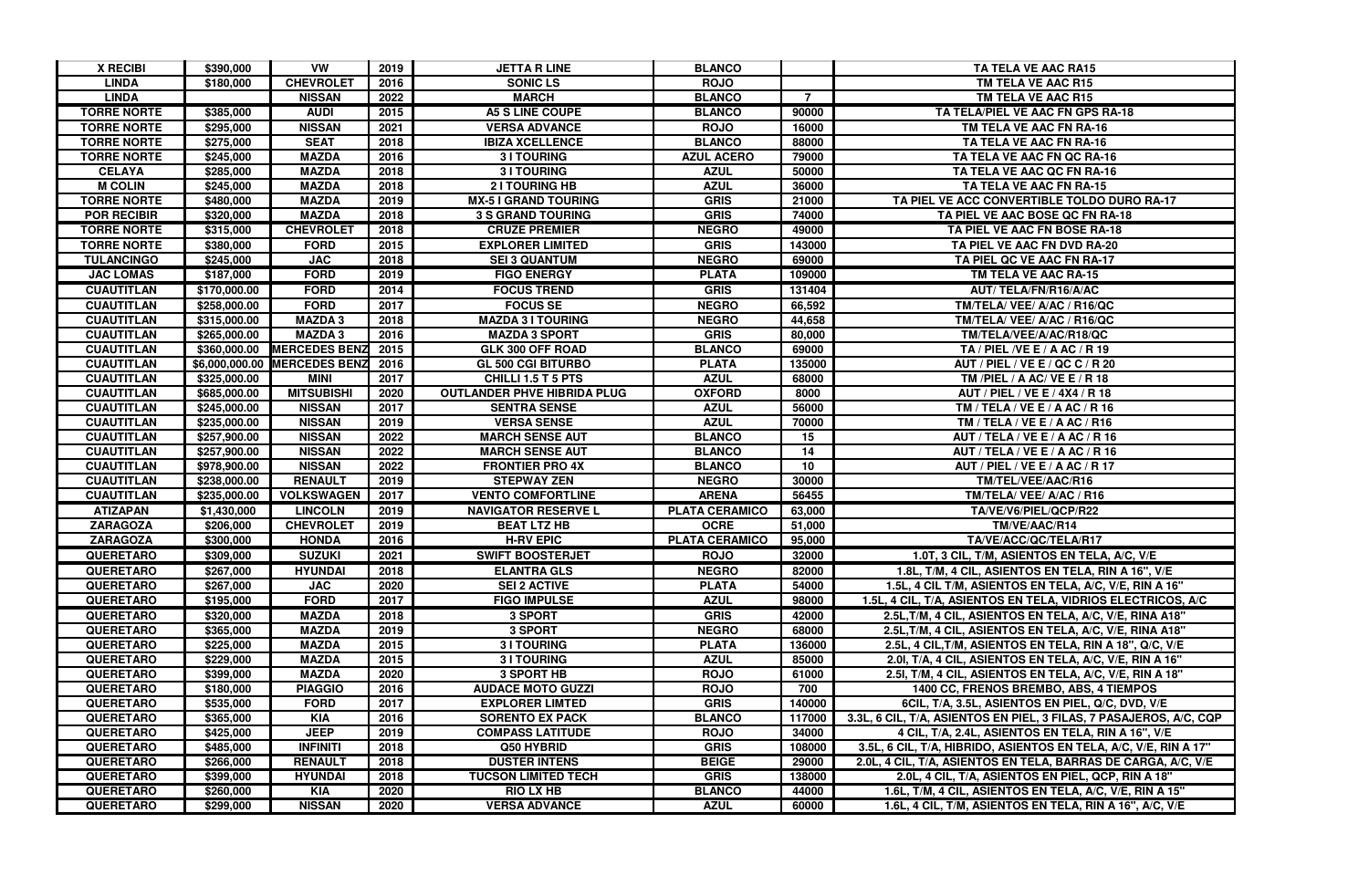| <b>X RECIBI</b>    | \$390,000    | VW                           | 2019 | <b>JETTA R LINE</b>                | <b>BLANCO</b>         |        | TA TELA VE AAC RA15                                                |
|--------------------|--------------|------------------------------|------|------------------------------------|-----------------------|--------|--------------------------------------------------------------------|
| <b>LINDA</b>       | \$180,000    | <b>CHEVROLET</b>             | 2016 | <b>SONIC LS</b>                    | <b>ROJO</b>           |        | TM TELA VE AAC R15                                                 |
| <b>LINDA</b>       |              | <b>NISSAN</b>                | 2022 | <b>MARCH</b>                       | <b>BLANCO</b>         | 7      | TM TELA VE AAC R15                                                 |
| <b>TORRE NORTE</b> | \$385,000    | <b>AUDI</b>                  | 2015 | <b>A5 S LINE COUPE</b>             | <b>BLANCO</b>         | 90000  | TA TELA/PIEL VE AAC FN GPS RA-18                                   |
| <b>TORRE NORTE</b> | \$295,000    | <b>NISSAN</b>                | 2021 | <b>VERSA ADVANCE</b>               | <b>ROJO</b>           | 16000  | TM TELA VE AAC FN RA-16                                            |
| <b>TORRE NORTE</b> | \$275,000    | <b>SEAT</b>                  | 2018 | <b>IBIZA XCELLENCE</b>             | <b>BLANCO</b>         | 88000  | TA TELA VE AAC FN RA-16                                            |
| <b>TORRE NORTE</b> | \$245,000    | <b>MAZDA</b>                 | 2016 | <b>3 I TOURING</b>                 | <b>AZUL ACERO</b>     | 79000  | TA TELA VE AAC FN QC RA-16                                         |
| <b>CELAYA</b>      | \$285,000    | <b>MAZDA</b>                 | 2018 | <b>3 I TOURING</b>                 | <b>AZUL</b>           | 50000  | TA TELA VE AAC QC FN RA-16                                         |
| <b>M COLIN</b>     | \$245,000    | <b>MAZDA</b>                 | 2018 | <b>21 TOURING HB</b>               | <b>AZUL</b>           | 36000  | TA TELA VE AAC FN RA-15                                            |
| <b>TORRE NORTE</b> | \$480,000    | <b>MAZDA</b>                 | 2019 | <b>MX-5 I GRAND TOURING</b>        | <b>GRIS</b>           | 21000  | TA PIEL VE ACC CONVERTIBLE TOLDO DURO RA-17                        |
| <b>POR RECIBIR</b> | \$320,000    | <b>MAZDA</b>                 | 2018 | <b>3 S GRAND TOURING</b>           | <b>GRIS</b>           | 74000  | TA PIEL VE AAC BOSE QC FN RA-18                                    |
| <b>TORRE NORTE</b> | \$315,000    | <b>CHEVROLET</b>             | 2018 | <b>CRUZE PREMIER</b>               | <b>NEGRO</b>          | 49000  | TA PIEL VE AAC FN BOSE RA-18                                       |
| <b>TORRE NORTE</b> | \$380,000    | <b>FORD</b>                  | 2015 | <b>EXPLORER LIMITED</b>            | <b>GRIS</b>           | 143000 | TA PIEL VE AAC FN DVD RA-20                                        |
| <b>TULANCINGO</b>  | \$245,000    | <b>JAC</b>                   | 2018 | <b>SEI 3 QUANTUM</b>               | <b>NEGRO</b>          | 69000  | TA PIEL QC VE AAC FN RA-17                                         |
| <b>JAC LOMAS</b>   | \$187,000    | <b>FORD</b>                  | 2019 | <b>FIGO ENERGY</b>                 | <b>PLATA</b>          | 109000 | TM TELA VE AAC RA-15                                               |
| <b>CUAUTITLAN</b>  | \$170,000.00 | <b>FORD</b>                  | 2014 | <b>FOCUS TREND</b>                 | <b>GRIS</b>           | 131404 | AUT/ TELA/FN/R16/A/AC                                              |
| <b>CUAUTITLAN</b>  | \$258,000.00 | <b>FORD</b>                  | 2017 | <b>FOCUS SE</b>                    | <b>NEGRO</b>          | 66,592 | TM/TELA/ VEE/ A/AC / R16/QC                                        |
| <b>CUAUTITLAN</b>  | \$315,000.00 | <b>MAZDA3</b>                | 2018 | <b>MAZDA 3 I TOURING</b>           | <b>NEGRO</b>          | 44,658 | TM/TELA/ VEE/ A/AC / R16/QC                                        |
| <b>CUAUTITLAN</b>  | \$265,000.00 | <b>MAZDA3</b>                | 2016 | <b>MAZDA 3 SPORT</b>               | <b>GRIS</b>           | 80,000 | TM/TELA/VEE/A/AC/R18/QC                                            |
| <b>CUAUTITLAN</b>  | \$360,000.00 | <b>MERCEDES BENZ</b>         | 2015 | GLK 300 OFF ROAD                   | <b>BLANCO</b>         | 69000  | TA / PIEL / VE E / A AC / R 19                                     |
| <b>CUAUTITLAN</b>  |              | \$6,000,000.00 MERCEDES BENZ | 2016 | <b>GL 500 CGI BITURBO</b>          | <b>PLATA</b>          | 135000 | AUT / PIEL / VE E / QC C / R 20                                    |
| <b>CUAUTITLAN</b>  | \$325,000.00 | <b>MINI</b>                  | 2017 | CHILLI 1.5 T 5 PTS                 | <b>AZUL</b>           | 68000  | TM /PIEL / A AC/ VE E / R 18                                       |
| <b>CUAUTITLAN</b>  | \$685,000.00 | <b>MITSUBISHI</b>            | 2020 | <b>OUTLANDER PHVE HIBRIDA PLUG</b> | <b>OXFORD</b>         | 8000   | AUT / PIEL / VE E / 4X4 / R 18                                     |
| <b>CUAUTITLAN</b>  | \$245,000.00 | <b>NISSAN</b>                | 2017 | <b>SENTRA SENSE</b>                | <b>AZUL</b>           | 56000  | TM / TELA / VE E / A AC / R 16                                     |
| <b>CUAUTITLAN</b>  | \$235,000.00 | <b>NISSAN</b>                | 2019 | <b>VERSA SENSE</b>                 | <b>AZUL</b>           | 70000  | TM / TELA / VE E / A AC / R16                                      |
| <b>CUAUTITLAN</b>  | \$257,900.00 | <b>NISSAN</b>                | 2022 | <b>MARCH SENSE AUT</b>             | <b>BLANCO</b>         | 15     | AUT / TELA / VE E / A AC / R 16                                    |
| <b>CUAUTITLAN</b>  | \$257,900.00 | <b>NISSAN</b>                | 2022 | <b>MARCH SENSE AUT</b>             | <b>BLANCO</b>         | 14     | AUT / TELA / VE E / A AC / R 16                                    |
| <b>CUAUTITLAN</b>  | \$978,900.00 | <b>NISSAN</b>                | 2022 | <b>FRONTIER PRO 4X</b>             | <b>BLANCO</b>         | 10     | AUT / PIEL / VE E / A AC / R 17                                    |
| <b>CUAUTITLAN</b>  | \$238,000.00 | <b>RENAULT</b>               | 2019 | <b>STEPWAY ZEN</b>                 | <b>NEGRO</b>          | 30000  | TM/TEL/VEE/AAC/R16                                                 |
| <b>CUAUTITLAN</b>  | \$235,000.00 | <b>VOLKSWAGEN</b>            | 2017 | <b>VENTO COMFORTLINE</b>           | <b>ARENA</b>          | 56455  | TM/TELA/ VEE/ A/AC / R16                                           |
| <b>ATIZAPAN</b>    | \$1,430,000  | <b>LINCOLN</b>               | 2019 | <b>NAVIGATOR RESERVE L</b>         | <b>PLATA CERAMICO</b> | 63,000 | TA/VE/V6/PIEL/QCP/R22                                              |
| <b>ZARAGOZA</b>    | \$206,000    | <b>CHEVROLET</b>             | 2019 | <b>BEAT LTZ HB</b>                 | <b>OCRE</b>           | 51,000 | TM/VE/AAC/R14                                                      |
| <b>ZARAGOZA</b>    | \$300,000    | <b>HONDA</b>                 | 2016 | <b>H-RV EPIC</b>                   | <b>PLATA CERAMICO</b> | 95,000 | TA/VE/ACC/QC/TELA/R17                                              |
| <b>QUERETARO</b>   | \$309,000    | <b>SUZUKI</b>                | 2021 | <b>SWIFT BOOSTERJET</b>            | <b>ROJO</b>           | 32000  | 1.0T, 3 CIL, T/M, ASIENTOS EN TELA, A/C, V/E                       |
| <b>QUERETARO</b>   | \$267,000    | <b>HYUNDAI</b>               | 2018 | <b>ELANTRA GLS</b>                 | <b>NEGRO</b>          | 82000  | 1.8L, T/M, 4 CIL, ASIENTOS EN TELA, RIN A 16", V/E                 |
| <b>QUERETARO</b>   | \$267,000    | <b>JAC</b>                   | 2020 | <b>SEI 2 ACTIVE</b>                | <b>PLATA</b>          | 54000  | 1.5L, 4 CIL T/M, ASIENTOS EN TELA, A/C, V/E, RIN A 16"             |
| <b>QUERETARO</b>   | \$195,000    | <b>FORD</b>                  | 2017 | <b>FIGO IMPULSE</b>                | <b>AZUL</b>           | 98000  | 1.5L, 4 CIL, T/A, ASIENTOS EN TELA, VIDRIOS ELECTRICOS, A/C        |
| <b>QUERETARO</b>   | \$320,000    | <b>MAZDA</b>                 | 2018 | 3 SPORT                            | <b>GRIS</b>           | 42000  | 2.5L, T/M, 4 CIL, ASIENTOS EN TELA, A/C, V/E, RINA A18"            |
| <b>QUERETARO</b>   | \$365,000    | <b>MAZDA</b>                 | 2019 | 3 SPORT                            | <b>NEGRO</b>          | 68000  | 2.5L, T/M, 4 CIL, ASIENTOS EN TELA, A/C, V/E, RINA A18"            |
| <b>QUERETARO</b>   | \$225,000    | <b>MAZDA</b>                 | 2015 | <b>3 I TOURING</b>                 | <b>PLATA</b>          | 136000 | 2.5L, 4 CIL, T/M, ASIENTOS EN TELA, RIN A 18", Q/C, V/E            |
| <b>QUERETARO</b>   | \$229,000    | <b>MAZDA</b>                 | 2015 | <b>31 TOURING</b>                  | <b>AZUL</b>           | 85000  | 2.01, T/A, 4 CIL, ASIENTOS EN TELA, A/C, V/E, RIN A 16"            |
| <b>QUERETARO</b>   | \$399,000    | <b>MAZDA</b>                 | 2020 | <b>3 SPORT HB</b>                  | <b>ROJO</b>           | 61000  | 2.51, T/M, 4 CIL, ASIENTOS EN TELA, A/C, V/E, RIN A 18"            |
| <b>QUERETARO</b>   | \$180,000    | <b>PIAGGIO</b>               | 2016 | <b>AUDACE MOTO GUZZI</b>           | <b>ROJO</b>           | 700    | 1400 CC, FRENOS BREMBO, ABS, 4 TIEMPOS                             |
| <b>QUERETARO</b>   | \$535,000    | <b>FORD</b>                  | 2017 | <b>EXPLORER LIMTED</b>             | <b>GRIS</b>           | 140000 | 6CIL, T/A, 3.5L, ASIENTOS EN PIEL, Q/C, DVD, V/E                   |
| <b>QUERETARO</b>   | \$365,000    | <b>KIA</b>                   | 2016 | <b>SORENTO EX PACK</b>             | <b>BLANCO</b>         | 117000 | 3.3L, 6 CIL, T/A, ASIENTOS EN PIEL, 3 FILAS, 7 PASAJEROS, A/C, CQP |
| <b>QUERETARO</b>   | \$425,000    | <b>JEEP</b>                  | 2019 | <b>COMPASS LATITUDE</b>            | <b>ROJO</b>           | 34000  | 4 CIL, T/A, 2.4L, ASIENTOS EN TELA, RIN A 16", V/E                 |
| <b>QUERETARO</b>   | \$485,000    | <b>INFINITI</b>              | 2018 | Q50 HYBRID                         | <b>GRIS</b>           | 108000 | 3.5L, 6 CIL, T/A, HIBRIDO, ASIENTOS EN TELA, A/C, V/E, RIN A 17"   |
| <b>QUERETARO</b>   | \$266,000    | <b>RENAULT</b>               | 2018 | <b>DUSTER INTENS</b>               | <b>BEIGE</b>          | 29000  | 2.0L, 4 CIL, T/A, ASIENTOS EN TELA, BARRAS DE CARGA, A/C, V/E      |
| <b>QUERETARO</b>   | \$399,000    | <b>HYUNDAI</b>               | 2018 | <b>TUCSON LIMITED TECH</b>         | <b>GRIS</b>           | 138000 | 2.0L, 4 CIL, T/A, ASIENTOS EN PIEL, QCP, RIN A 18"                 |
| <b>QUERETARO</b>   | \$260,000    | <b>KIA</b>                   | 2020 | <b>RIO LX HB</b>                   | <b>BLANCO</b>         | 44000  | 1.6L, T/M, 4 CIL, ASIENTOS EN TELA, A/C, V/E, RIN A 15"            |
| <b>QUERETARO</b>   | \$299,000    | <b>NISSAN</b>                | 2020 | <b>VERSA ADVANCE</b>               | <b>AZUL</b>           | 60000  | 1.6L, 4 CIL, T/M, ASIENTOS EN TELA, RIN A 16", A/C, V/E            |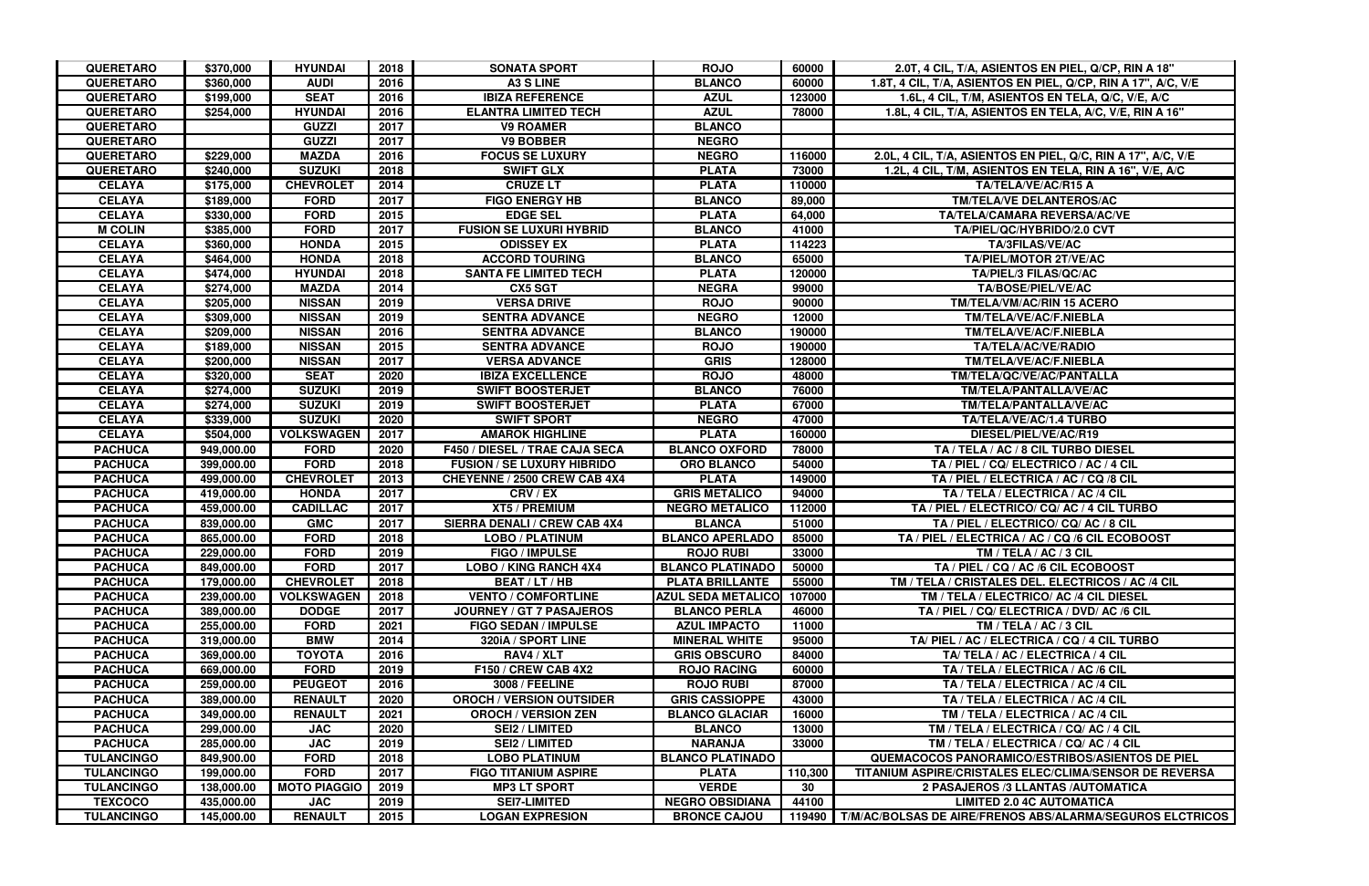| <b>QUERETARO</b>  | \$370,000  | <b>HYUNDAI</b>      | 2018 | <b>SONATA SPORT</b>                 | <b>ROJO</b>               | 60000   | 2.0T, 4 CIL, T/A, ASIENTOS EN PIEL, Q/CP, RIN A 18"                |
|-------------------|------------|---------------------|------|-------------------------------------|---------------------------|---------|--------------------------------------------------------------------|
| <b>QUERETARO</b>  | \$360,000  | <b>AUDI</b>         | 2016 | <b>A3 S LINE</b>                    | <b>BLANCO</b>             | 60000   | 1.8T, 4 CIL, T/A, ASIENTOS EN PIEL, Q/CP, RIN A 17", A/C, V/E      |
| <b>QUERETARO</b>  | \$199,000  | <b>SEAT</b>         | 2016 | <b>IBIZA REFERENCE</b>              | <b>AZUL</b>               | 123000  | 1.6L, 4 CIL, T/M, ASIENTOS EN TELA, Q/C, V/E, A/C                  |
| <b>QUERETARO</b>  | \$254,000  | <b>HYUNDAI</b>      | 2016 | <b>ELANTRA LIMITED TECH</b>         | <b>AZUL</b>               | 78000   | 1.8L, 4 CIL, T/A, ASIENTOS EN TELA, A/C, V/E, RIN A 16"            |
| <b>QUERETARO</b>  |            | <b>GUZZI</b>        | 2017 | <b>V9 ROAMER</b>                    | <b>BLANCO</b>             |         |                                                                    |
| <b>QUERETARO</b>  |            | <b>GUZZI</b>        | 2017 | <b>V9 BOBBER</b>                    | <b>NEGRO</b>              |         |                                                                    |
| <b>QUERETARO</b>  | \$229,000  | <b>MAZDA</b>        | 2016 | <b>FOCUS SE LUXURY</b>              | <b>NEGRO</b>              | 116000  | 2.0L, 4 CIL, T/A, ASIENTOS EN PIEL, Q/C, RIN A 17", A/C, V/E       |
| <b>QUERETARO</b>  | \$240,000  | <b>SUZUKI</b>       | 2018 | <b>SWIFT GLX</b>                    | <b>PLATA</b>              | 73000   | 1.2L, 4 CIL, T/M, ASIENTOS EN TELA, RIN A 16", V/E, A/C            |
| <b>CELAYA</b>     | \$175,000  | <b>CHEVROLET</b>    | 2014 | <b>CRUZE LT</b>                     | <b>PLATA</b>              | 110000  | TA/TELA/VE/AC/R15 A                                                |
| <b>CELAYA</b>     | \$189,000  | <b>FORD</b>         | 2017 | <b>FIGO ENERGY HB</b>               | <b>BLANCO</b>             | 89,000  | <b>TM/TELA/VE DELANTEROS/AC</b>                                    |
| <b>CELAYA</b>     | \$330,000  | <b>FORD</b>         | 2015 | <b>EDGE SEL</b>                     | <b>PLATA</b>              | 64,000  | <b>TA/TELA/CAMARA REVERSA/AC/VE</b>                                |
| <b>M COLIN</b>    | \$385,000  | <b>FORD</b>         | 2017 | <b>FUSION SE LUXURI HYBRID</b>      | <b>BLANCO</b>             | 41000   | TA/PIEL/QC/HYBRIDO/2.0 CVT                                         |
| <b>CELAYA</b>     | \$360,000  | <b>HONDA</b>        | 2015 | <b>ODISSEY EX</b>                   | <b>PLATA</b>              | 114223  | TA/3FILAS/VE/AC                                                    |
| <b>CELAYA</b>     | \$464,000  | <b>HONDA</b>        | 2018 | <b>ACCORD TOURING</b>               | <b>BLANCO</b>             | 65000   | <b>TA/PIEL/MOTOR 2T/VE/AC</b>                                      |
| <b>CELAYA</b>     | \$474,000  | <b>HYUNDAI</b>      | 2018 | <b>SANTA FE LIMITED TECH</b>        | <b>PLATA</b>              | 120000  | <b>TA/PIEL/3 FILAS/QC/AC</b>                                       |
| <b>CELAYA</b>     | \$274,000  | <b>MAZDA</b>        | 2014 | <b>CX5 SGT</b>                      | <b>NEGRA</b>              | 99000   | <b>TA/BOSE/PIEL/VE/AC</b>                                          |
| <b>CELAYA</b>     | \$205,000  | <b>NISSAN</b>       | 2019 | <b>VERSA DRIVE</b>                  | <b>ROJO</b>               | 90000   | TM/TELA/VM/AC/RIN 15 ACERO                                         |
| <b>CELAYA</b>     | \$309,000  | <b>NISSAN</b>       | 2019 | <b>SENTRA ADVANCE</b>               | <b>NEGRO</b>              | 12000   | TM/TELA/VE/AC/F.NIEBLA                                             |
| <b>CELAYA</b>     | \$209,000  | <b>NISSAN</b>       | 2016 | <b>SENTRA ADVANCE</b>               | <b>BLANCO</b>             | 190000  | TM/TELA/VE/AC/F.NIEBLA                                             |
| <b>CELAYA</b>     | \$189,000  | <b>NISSAN</b>       | 2015 | <b>SENTRA ADVANCE</b>               | <b>ROJO</b>               | 190000  | <b>TA/TELA/AC/VE/RADIO</b>                                         |
| <b>CELAYA</b>     | \$200,000  | <b>NISSAN</b>       | 2017 | <b>VERSA ADVANCE</b>                | <b>GRIS</b>               | 128000  | TM/TELA/VE/AC/F.NIEBLA                                             |
| <b>CELAYA</b>     | \$320,000  | <b>SEAT</b>         | 2020 | <b>IBIZA EXCELLENCE</b>             | <b>ROJO</b>               | 48000   | TM/TELA/QC/VE/AC/PANTALLA                                          |
| <b>CELAYA</b>     | \$274,000  | <b>SUZUKI</b>       | 2019 | <b>SWIFT BOOSTERJET</b>             | <b>BLANCO</b>             | 76000   | TM/TELA/PANTALLA/VE/AC                                             |
| <b>CELAYA</b>     | \$274,000  | <b>SUZUKI</b>       | 2019 | <b>SWIFT BOOSTERJET</b>             | <b>PLATA</b>              | 67000   | TM/TELA/PANTALLA/VE/AC                                             |
| <b>CELAYA</b>     | \$339,000  | <b>SUZUKI</b>       | 2020 | <b>SWIFT SPORT</b>                  | <b>NEGRO</b>              | 47000   | TA/TELA/VE/AC/1.4 TURBO                                            |
| <b>CELAYA</b>     | \$504,000  | <b>VOLKSWAGEN</b>   | 2017 | <b>AMAROK HIGHLINE</b>              | <b>PLATA</b>              | 160000  | DIESEL/PIEL/VE/AC/R19                                              |
| <b>PACHUCA</b>    | 949,000.00 | <b>FORD</b>         | 2020 | F450 / DIESEL / TRAE CAJA SECA      | <b>BLANCO OXFORD</b>      | 78000   | TA / TELA / AC / 8 CIL TURBO DIESEL                                |
| <b>PACHUCA</b>    | 399,000.00 | <b>FORD</b>         | 2018 | <b>FUSION / SE LUXURY HIBRIDO</b>   | <b>ORO BLANCO</b>         | 54000   | TA / PIEL / CQ/ ELECTRICO / AC / 4 CIL                             |
| <b>PACHUCA</b>    | 499,000.00 | <b>CHEVROLET</b>    | 2013 | CHEYENNE / 2500 CREW CAB 4X4        | <b>PLATA</b>              | 149000  | TA / PIEL / ELECTRICA / AC / CQ /8 CIL                             |
| <b>PACHUCA</b>    | 419,000.00 | <b>HONDA</b>        | 2017 | CRV/EX                              | <b>GRIS METALICO</b>      | 94000   | TA / TELA / ELECTRICA / AC /4 CIL                                  |
| <b>PACHUCA</b>    | 459,000.00 | <b>CADILLAC</b>     | 2017 | <b>XT5 / PREMIUM</b>                | <b>NEGRO METALICO</b>     | 112000  | TA / PIEL / ELECTRICO/ CQ/ AC / 4 CIL TURBO                        |
| <b>PACHUCA</b>    | 839,000.00 | <b>GMC</b>          | 2017 | <b>SIERRA DENALI / CREW CAB 4X4</b> | <b>BLANCA</b>             | 51000   | TA / PIEL / ELECTRICO/ CQ/ AC / 8 CIL                              |
| <b>PACHUCA</b>    | 865,000.00 | <b>FORD</b>         | 2018 | <b>LOBO / PLATINUM</b>              | <b>BLANCO APERLADO</b>    | 85000   | TA / PIEL / ELECTRICA / AC / CQ /6 CIL ECOBOOST                    |
| <b>PACHUCA</b>    | 229,000.00 | <b>FORD</b>         | 2019 | <b>FIGO / IMPULSE</b>               | <b>ROJO RUBI</b>          | 33000   | TM / TELA / AC / 3 CIL                                             |
| <b>PACHUCA</b>    | 849,000.00 | <b>FORD</b>         | 2017 | <b>LOBO / KING RANCH 4X4</b>        | <b>BLANCO PLATINADO</b>   | 50000   | TA / PIEL / CQ / AC /6 CIL ECOBOOST                                |
| <b>PACHUCA</b>    | 179,000.00 | <b>CHEVROLET</b>    | 2018 | <b>BEAT / LT / HB</b>               | <b>PLATA BRILLANTE</b>    | 55000   | TM / TELA / CRISTALES DEL. ELECTRICOS / AC /4 CIL                  |
| <b>PACHUCA</b>    | 239,000.00 | <b>VOLKSWAGEN</b>   | 2018 | <b>VENTO / COMFORTLINE</b>          | <b>AZUL SEDA METALICO</b> | 107000  | TM / TELA / ELECTRICO/ AC /4 CIL DIESEL                            |
| <b>PACHUCA</b>    | 389,000.00 | <b>DODGE</b>        | 2017 | JOURNEY / GT 7 PASAJEROS            | <b>BLANCO PERLA</b>       | 46000   | TA / PIEL / CQ/ ELECTRICA / DVD/ AC /6 CIL                         |
| <b>PACHUCA</b>    | 255,000.00 | <b>FORD</b>         | 2021 | <b>FIGO SEDAN / IMPULSE</b>         | <b>AZUL IMPACTO</b>       | 11000   | TM / TELA / AC / 3 CIL                                             |
| <b>PACHUCA</b>    | 319,000.00 | <b>BMW</b>          | 2014 | 320iA / SPORT LINE                  | <b>MINERAL WHITE</b>      | 95000   | TA/PIEL / AC / ELECTRICA / CQ / 4 CIL TURBO                        |
| <b>PACHUCA</b>    | 369,000.00 | <b>TOYOTA</b>       | 2016 | RAV4 / XLT                          | <b>GRIS OBSCURO</b>       | 84000   | TA/TELA / AC / ELECTRICA / 4 CIL                                   |
| <b>PACHUCA</b>    | 669,000.00 | <b>FORD</b>         | 2019 | <b>F150 / CREW CAB 4X2</b>          | <b>ROJO RACING</b>        | 60000   | TA / TELA / ELECTRICA / AC /6 CIL                                  |
| <b>PACHUCA</b>    | 259,000.00 | <b>PEUGEOT</b>      | 2016 | <b>3008 / FEELINE</b>               | <b>ROJO RUBI</b>          | 87000   | TA / TELA / ELECTRICA / AC /4 CIL                                  |
| <b>PACHUCA</b>    | 389,000.00 | <b>RENAULT</b>      | 2020 | <b>OROCH / VERSION OUTSIDER</b>     | <b>GRIS CASSIOPPE</b>     | 43000   | TA / TELA / ELECTRICA / AC /4 CIL                                  |
| <b>PACHUCA</b>    | 349,000.00 | <b>RENAULT</b>      | 2021 | <b>OROCH / VERSION ZEN</b>          | <b>BLANCO GLACIAR</b>     | 16000   | TM / TELA / ELECTRICA / AC /4 CIL                                  |
| <b>PACHUCA</b>    | 299,000.00 | <b>JAC</b>          | 2020 | <b>SEI2 / LIMITED</b>               | <b>BLANCO</b>             | 13000   | TM / TELA / ELECTRICA / CQ/ AC / 4 CIL                             |
| <b>PACHUCA</b>    | 285,000.00 | <b>JAC</b>          | 2019 | <b>SEI2 / LIMITED</b>               | <b>NARANJA</b>            | 33000   | TM / TELA / ELECTRICA / CQ/ AC / 4 CIL                             |
| <b>TULANCINGO</b> | 849,900.00 | <b>FORD</b>         | 2018 | <b>LOBO PLATINUM</b>                | <b>BLANCO PLATINADO</b>   |         | <b>QUEMACOCOS PANORAMICO/ESTRIBOS/ASIENTOS DE PIEL</b>             |
| <b>TULANCINGO</b> | 199,000.00 | <b>FORD</b>         | 2017 | <b>FIGO TITANIUM ASPIRE</b>         | <b>PLATA</b>              | 110,300 | TITANIUM ASPIRE/CRISTALES ELEC/CLIMA/SENSOR DE REVERSA             |
| <b>TULANCINGO</b> | 138,000.00 | <b>MOTO PIAGGIO</b> | 2019 | <b>MP3 LT SPORT</b>                 | <b>VERDE</b>              | 30      | 2 PASAJEROS /3 LLANTAS /AUTOMATICA                                 |
| <b>TEXCOCO</b>    | 435,000.00 | <b>JAC</b>          | 2019 | <b>SEI7-LIMITED</b>                 | <b>NEGRO OBSIDIANA</b>    | 44100   | <b>LIMITED 2.0 4C AUTOMATICA</b>                                   |
| <b>TULANCINGO</b> | 145,000.00 | <b>RENAULT</b>      | 2015 | <b>LOGAN EXPRESION</b>              | <b>BRONCE CAJOU</b>       |         | 119490   T/M/AC/BOLSAS DE AIRE/FRENOS ABS/ALARMA/SEGUROS ELCTRICOS |